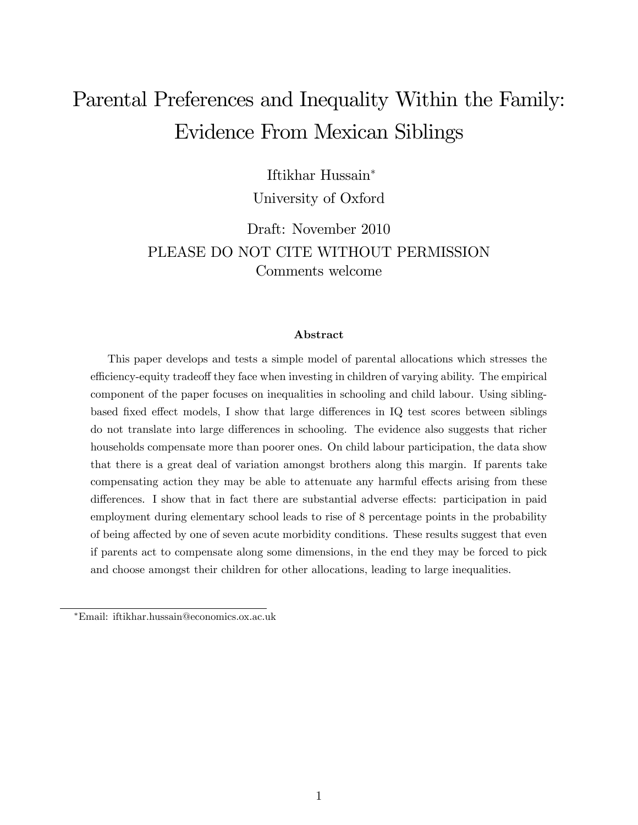# Parental Preferences and Inequality Within the Family: Evidence From Mexican Siblings

Iftikhar Hussain

University of Oxford

Draft: November 2010 PLEASE DO NOT CITE WITHOUT PERMISSION Comments welcome

#### Abstract

This paper develops and tests a simple model of parental allocations which stresses the efficiency-equity tradeoff they face when investing in children of varying ability. The empirical component of the paper focuses on inequalities in schooling and child labour. Using siblingbased fixed effect models, I show that large differences in IQ test scores between siblings do not translate into large differences in schooling. The evidence also suggests that richer households compensate more than poorer ones. On child labour participation, the data show that there is a great deal of variation amongst brothers along this margin. If parents take compensating action they may be able to attenuate any harmful effects arising from these differences. I show that in fact there are substantial adverse effects: participation in paid employment during elementary school leads to rise of 8 percentage points in the probability of being affected by one of seven acute morbidity conditions. These results suggest that even if parents act to compensate along some dimensions, in the end they may be forced to pick and choose amongst their children for other allocations, leading to large inequalities.

Email: iftikhar.hussain@economics.ox.ac.uk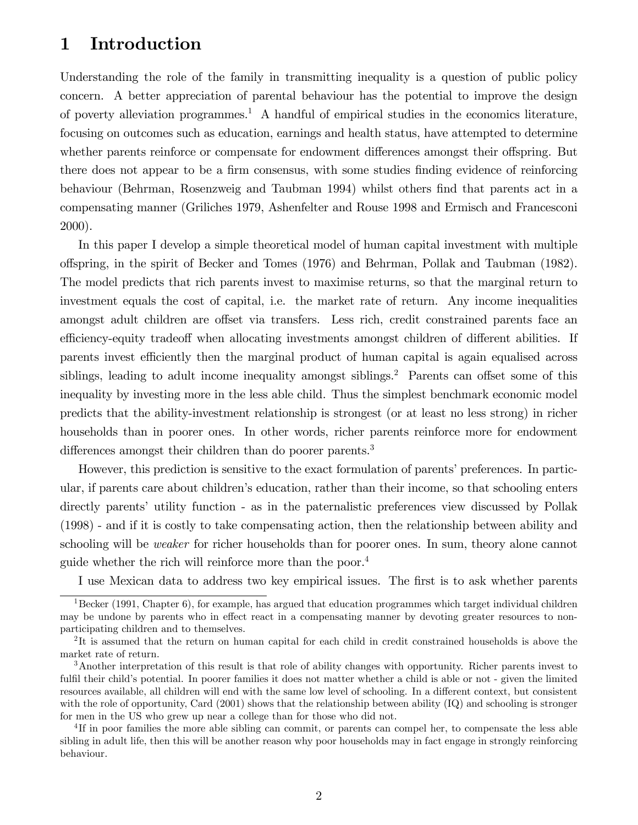# 1 Introduction

Understanding the role of the family in transmitting inequality is a question of public policy concern. A better appreciation of parental behaviour has the potential to improve the design of poverty alleviation programmes.<sup>1</sup> A handful of empirical studies in the economics literature, focusing on outcomes such as education, earnings and health status, have attempted to determine whether parents reinforce or compensate for endowment differences amongst their offspring. But there does not appear to be a firm consensus, with some studies finding evidence of reinforcing behaviour (Behrman, Rosenzweig and Taubman 1994) whilst others find that parents act in a compensating manner (Griliches 1979, Ashenfelter and Rouse 1998 and Ermisch and Francesconi 2000).

In this paper I develop a simple theoretical model of human capital investment with multiple o§spring, in the spirit of Becker and Tomes (1976) and Behrman, Pollak and Taubman (1982). The model predicts that rich parents invest to maximise returns, so that the marginal return to investment equals the cost of capital, i.e. the market rate of return. Any income inequalities amongst adult children are offset via transfers. Less rich, credit constrained parents face an efficiency-equity tradeoff when allocating investments amongst children of different abilities. If parents invest efficiently then the marginal product of human capital is again equalised across siblings, leading to adult income inequality amongst siblings.<sup>2</sup> Parents can offset some of this inequality by investing more in the less able child. Thus the simplest benchmark economic model predicts that the ability-investment relationship is strongest (or at least no less strong) in richer households than in poorer ones. In other words, richer parents reinforce more for endowment differences amongst their children than do poorer parents.<sup>3</sup>

However, this prediction is sensitive to the exact formulation of parents' preferences. In particular, if parents care about children's education, rather than their income, so that schooling enters directly parents' utility function - as in the paternalistic preferences view discussed by Pollak (1998) - and if it is costly to take compensating action, then the relationship between ability and schooling will be weaker for richer households than for poorer ones. In sum, theory alone cannot guide whether the rich will reinforce more than the poor.<sup>4</sup>

I use Mexican data to address two key empirical issues. The first is to ask whether parents

<sup>&</sup>lt;sup>1</sup>Becker (1991, Chapter 6), for example, has argued that education programmes which target individual children may be undone by parents who in effect react in a compensating manner by devoting greater resources to nonparticipating children and to themselves.

<sup>&</sup>lt;sup>2</sup>It is assumed that the return on human capital for each child in credit constrained households is above the market rate of return.

<sup>3</sup>Another interpretation of this result is that role of ability changes with opportunity. Richer parents invest to fulfil their child's potential. In poorer families it does not matter whether a child is able or not - given the limited resources available, all children will end with the same low level of schooling. In a different context, but consistent with the role of opportunity, Card (2001) shows that the relationship between ability (IQ) and schooling is stronger for men in the US who grew up near a college than for those who did not.

<sup>&</sup>lt;sup>4</sup>If in poor families the more able sibling can commit, or parents can compel her, to compensate the less able sibling in adult life, then this will be another reason why poor households may in fact engage in strongly reinforcing behaviour.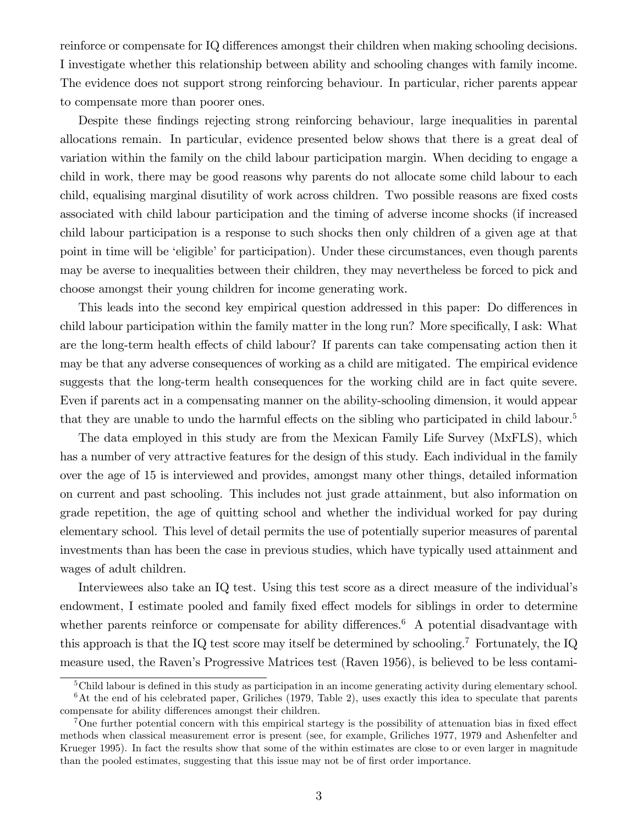reinforce or compensate for IQ differences amongst their children when making schooling decisions. I investigate whether this relationship between ability and schooling changes with family income. The evidence does not support strong reinforcing behaviour. In particular, richer parents appear to compensate more than poorer ones.

Despite these findings rejecting strong reinforcing behaviour, large inequalities in parental allocations remain. In particular, evidence presented below shows that there is a great deal of variation within the family on the child labour participation margin. When deciding to engage a child in work, there may be good reasons why parents do not allocate some child labour to each child, equalising marginal disutility of work across children. Two possible reasons are fixed costs associated with child labour participation and the timing of adverse income shocks (if increased child labour participation is a response to such shocks then only children of a given age at that point in time will be 'eligible' for participation). Under these circumstances, even though parents may be averse to inequalities between their children, they may nevertheless be forced to pick and choose amongst their young children for income generating work.

This leads into the second key empirical question addressed in this paper: Do differences in child labour participation within the family matter in the long run? More specifically, I ask: What are the long-term health effects of child labour? If parents can take compensating action then it may be that any adverse consequences of working as a child are mitigated. The empirical evidence suggests that the long-term health consequences for the working child are in fact quite severe. Even if parents act in a compensating manner on the ability-schooling dimension, it would appear that they are unable to undo the harmful effects on the sibling who participated in child labour.<sup>5</sup>

The data employed in this study are from the Mexican Family Life Survey (MxFLS), which has a number of very attractive features for the design of this study. Each individual in the family over the age of 15 is interviewed and provides, amongst many other things, detailed information on current and past schooling. This includes not just grade attainment, but also information on grade repetition, the age of quitting school and whether the individual worked for pay during elementary school. This level of detail permits the use of potentially superior measures of parental investments than has been the case in previous studies, which have typically used attainment and wages of adult children.

Interviewees also take an IQ test. Using this test score as a direct measure of the individualís endowment, I estimate pooled and family fixed effect models for siblings in order to determine whether parents reinforce or compensate for ability differences.<sup>6</sup> A potential disadvantage with this approach is that the IQ test score may itself be determined by schooling.<sup>7</sup> Fortunately, the IQ measure used, the Ravenís Progressive Matrices test (Raven 1956), is believed to be less contami-

 $5$ Child labour is defined in this study as participation in an income generating activity during elementary school.  $6$ At the end of his celebrated paper, Griliches (1979, Table 2), uses exactly this idea to speculate that parents compensate for ability differences amongst their children.

<sup>&</sup>lt;sup>7</sup>One further potential concern with this empirical startegy is the possibility of attenuation bias in fixed effect methods when classical measurement error is present (see, for example, Griliches 1977, 1979 and Ashenfelter and Krueger 1995). In fact the results show that some of the within estimates are close to or even larger in magnitude than the pooled estimates, suggesting that this issue may not be of first order importance.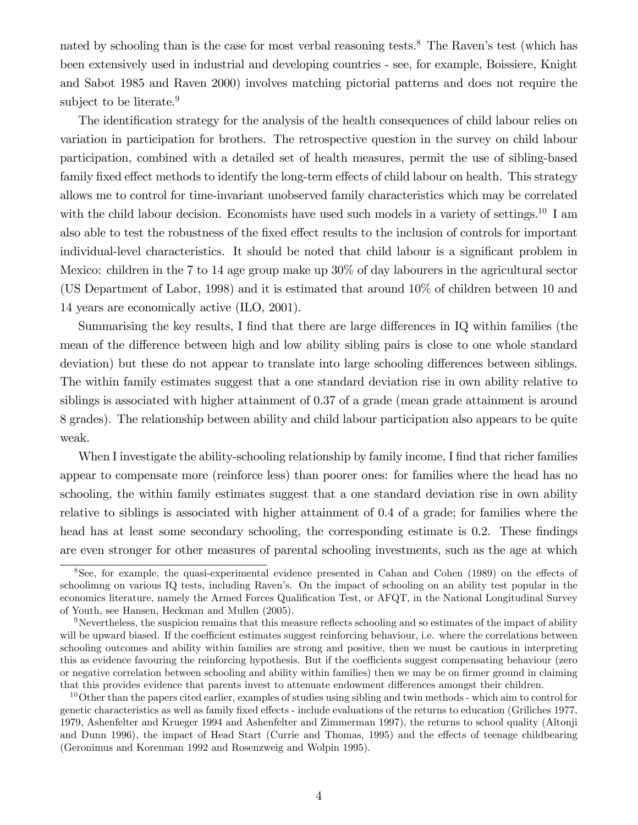nated by schooling than is the case for most verbal reasoning tests.<sup>8</sup> The Raven's test (which has been extensively used in industrial and developing countries - see, for example, Boissiere, Knight and Sabot 1985 and Raven 2000) involves matching pictorial patterns and does not require the subject to be literate.<sup>9</sup>

The identification strategy for the analysis of the health consequences of child labour relies on variation in participation for brothers. The retrospective question in the survey on child labour participation, combined with a detailed set of health measures, permit the use of sibling-based family fixed effect methods to identify the long-term effects of child labour on health. This strategy allows me to control for time-invariant unobserved family characteristics which may be correlated with the child labour decision. Economists have used such models in a variety of settings.<sup>10</sup> I am also able to test the robustness of the fixed effect results to the inclusion of controls for important individual-level characteristics. It should be noted that child labour is a significant problem in Mexico: children in the 7 to 14 age group make up 30% of day labourers in the agricultural sector (US Department of Labor, 1998) and it is estimated that around 10% of children between 10 and 14 years are economically active (ILO, 2001).

Summarising the key results, I find that there are large differences in IQ within families (the mean of the difference between high and low ability sibling pairs is close to one whole standard deviation) but these do not appear to translate into large schooling differences between siblings. The within family estimates suggest that a one standard deviation rise in own ability relative to siblings is associated with higher attainment of 0.37 of a grade (mean grade attainment is around 8 grades). The relationship between ability and child labour participation also appears to be quite weak.

When I investigate the ability-schooling relationship by family income, I find that richer families appear to compensate more (reinforce less) than poorer ones: for families where the head has no schooling, the within family estimates suggest that a one standard deviation rise in own ability relative to siblings is associated with higher attainment of 0.4 of a grade; for families where the head has at least some secondary schooling, the corresponding estimate is  $0.2$ . These findings are even stronger for other measures of parental schooling investments, such as the age at which

 $8$ See, for example, the quasi-experimental evidence presented in Cahan and Cohen (1989) on the effects of schoolimng on various IQ tests, including Raven's. On the impact of schooling on an ability test popular in the economics literature, namely the Armed Forces Qualification Test, or AFQT, in the National Longitudinal Survey of Youth, see Hansen, Heckman and Mullen (2005).

 $9$ Nevertheless, the suspicion remains that this measure reflects schooling and so estimates of the impact of ability will be upward biased. If the coefficient estimates suggest reinforcing behaviour, i.e. where the correlations between schooling outcomes and ability within families are strong and positive, then we must be cautious in interpreting this as evidence favouring the reinforcing hypothesis. But if the coefficients suggest compensating behaviour (zero or negative correlation between schooling and ability within families) then we may be on firmer ground in claiming that this provides evidence that parents invest to attenuate endowment differences amongst their children.

 $10$ Other than the papers cited earlier, examples of studies using sibling and twin methods - which aim to control for genetic characteristics as well as family fixed effects - include evaluations of the returns to education (Griliches 1977, 1979, Ashenfelter and Krueger 1994 and Ashenfelter and Zimmerman 1997), the returns to school quality (Altonji and Dunn 1996), the impact of Head Start (Currie and Thomas, 1995) and the effects of teenage childbearing (Geronimus and Korenman 1992 and Rosenzweig and Wolpin 1995).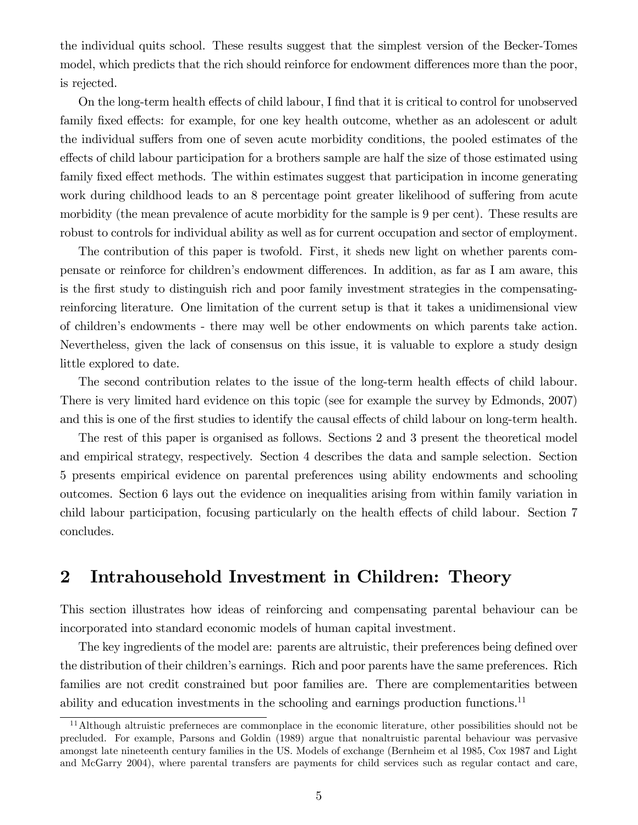the individual quits school. These results suggest that the simplest version of the Becker-Tomes model, which predicts that the rich should reinforce for endowment differences more than the poor, is rejected.

On the long-term health effects of child labour, I find that it is critical to control for unobserved family fixed effects: for example, for one key health outcome, whether as an adolescent or adult the individual suffers from one of seven acute morbidity conditions, the pooled estimates of the effects of child labour participation for a brothers sample are half the size of those estimated using family fixed effect methods. The within estimates suggest that participation in income generating work during childhood leads to an 8 percentage point greater likelihood of suffering from acute morbidity (the mean prevalence of acute morbidity for the sample is 9 per cent). These results are robust to controls for individual ability as well as for current occupation and sector of employment.

The contribution of this paper is twofold. First, it sheds new light on whether parents compensate or reinforce for children's endowment differences. In addition, as far as I am aware, this is the Örst study to distinguish rich and poor family investment strategies in the compensatingreinforcing literature. One limitation of the current setup is that it takes a unidimensional view of childrenís endowments - there may well be other endowments on which parents take action. Nevertheless, given the lack of consensus on this issue, it is valuable to explore a study design little explored to date.

The second contribution relates to the issue of the long-term health effects of child labour. There is very limited hard evidence on this topic (see for example the survey by Edmonds, 2007) and this is one of the first studies to identify the causal effects of child labour on long-term health.

The rest of this paper is organised as follows. Sections 2 and 3 present the theoretical model and empirical strategy, respectively. Section 4 describes the data and sample selection. Section 5 presents empirical evidence on parental preferences using ability endowments and schooling outcomes. Section 6 lays out the evidence on inequalities arising from within family variation in child labour participation, focusing particularly on the health effects of child labour. Section 7 concludes.

## 2 Intrahousehold Investment in Children: Theory

This section illustrates how ideas of reinforcing and compensating parental behaviour can be incorporated into standard economic models of human capital investment.

The key ingredients of the model are: parents are altruistic, their preferences being defined over the distribution of their children's earnings. Rich and poor parents have the same preferences. Rich families are not credit constrained but poor families are. There are complementarities between ability and education investments in the schooling and earnings production functions.<sup>11</sup>

<sup>&</sup>lt;sup>11</sup>Although altruistic preferneces are commonplace in the economic literature, other possibilities should not be precluded. For example, Parsons and Goldin (1989) argue that nonaltruistic parental behaviour was pervasive amongst late nineteenth century families in the US. Models of exchange (Bernheim et al 1985, Cox 1987 and Light and McGarry 2004), where parental transfers are payments for child services such as regular contact and care,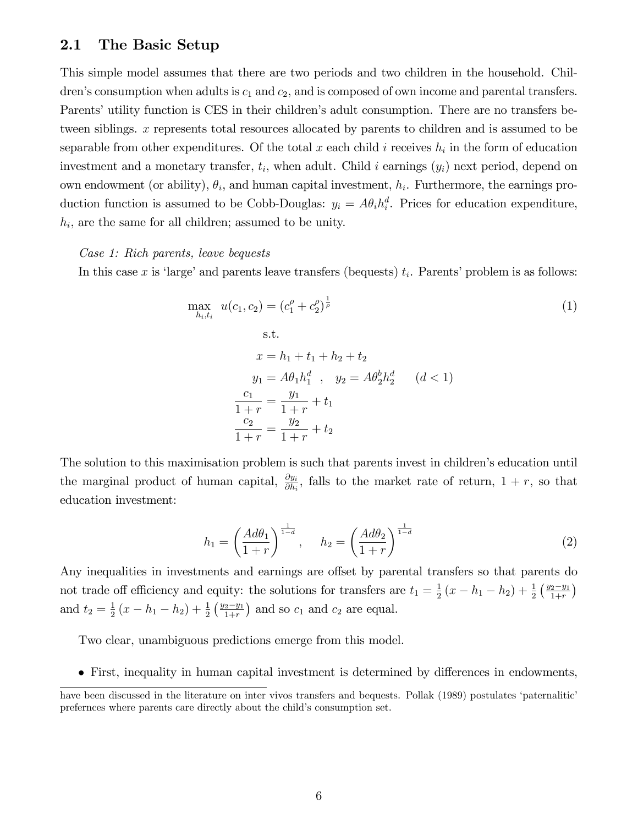## 2.1 The Basic Setup

This simple model assumes that there are two periods and two children in the household. Children's consumption when adults is  $c_1$  and  $c_2$ , and is composed of own income and parental transfers. Parents' utility function is CES in their children's adult consumption. There are no transfers between siblings. x represents total resources allocated by parents to children and is assumed to be separable from other expenditures. Of the total x each child i receives  $h_i$  in the form of education investment and a monetary transfer,  $t_i$ , when adult. Child i earnings  $(y_i)$  next period, depend on own endowment (or ability),  $\theta_i$ , and human capital investment,  $h_i$ . Furthermore, the earnings production function is assumed to be Cobb-Douglas:  $y_i = A\theta_i h_i^d$ . Prices for education expenditure,  $h_i$ , are the same for all children; assumed to be unity.

#### Case 1: Rich parents, leave bequests

In this case x is 'large' and parents leave transfers (bequests)  $t_i$ . Parents' problem is as follows:

$$
\max_{h_i, t_i} u(c_1, c_2) = (c_1^{\rho} + c_2^{\rho})^{\frac{1}{\rho}}
$$
\n
$$
\text{s.t.}
$$
\n
$$
x = h_1 + t_1 + h_2 + t_2
$$
\n
$$
y_1 = A\theta_1 h_1^d \quad \text{y}_2 = A\theta_2^b h_2^d \quad (d < 1)
$$
\n
$$
\frac{c_1}{1+r} = \frac{y_1}{1+r} + t_1
$$
\n
$$
\frac{c_2}{1+r} = \frac{y_2}{1+r} + t_2
$$
\n(1)

The solution to this maximisation problem is such that parents invest in children's education until the marginal product of human capital,  $\frac{\partial y_i}{\partial h_i}$ , falls to the market rate of return,  $1 + r$ , so that education investment:

$$
h_1 = \left(\frac{Ad\theta_1}{1+r}\right)^{\frac{1}{1-d}}, \quad h_2 = \left(\frac{Ad\theta_2}{1+r}\right)^{\frac{1}{1-d}} \tag{2}
$$

Any inequalities in investments and earnings are offset by parental transfers so that parents do not trade off efficiency and equity: the solutions for transfers are  $t_1 = \frac{1}{2}$  $\frac{1}{2}(x-h_1-h_2)+\frac{1}{2}(\frac{y_2-y_1}{1+r})$ and  $t_2 = \frac{1}{2}$  $\frac{1}{2}(x-h_1-h_2)+\frac{1}{2}(\frac{y_2-y_1}{1+r})$  and so  $c_1$  and  $c_2$  are equal.

Two clear, unambiguous predictions emerge from this model.

• First, inequality in human capital investment is determined by differences in endowments,

have been discussed in the literature on inter vivos transfers and bequests. Pollak (1989) postulates 'paternalitic' prefernces where parents care directly about the child's consumption set.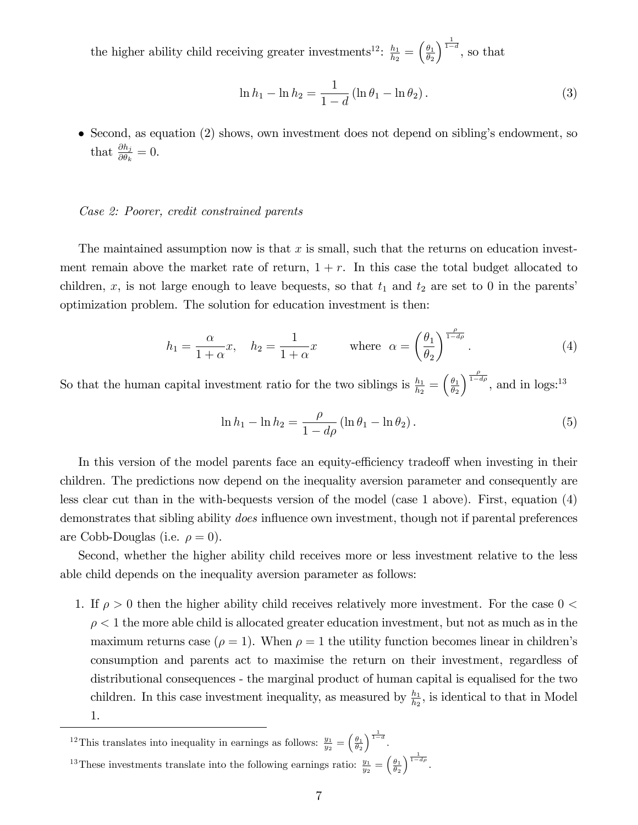the higher ability child receiving greater investments<sup>12</sup>:  $\frac{h_1}{h_2}$  $\frac{h_1}{h_2} = \left(\frac{\theta_1}{\theta_2}\right)$  $\theta_2$  $\int^{\frac{1}{1-d}}$ , so that

$$
\ln h_1 - \ln h_2 = \frac{1}{1 - d} (\ln \theta_1 - \ln \theta_2).
$$
 (3)

 $\bullet$  Second, as equation (2) shows, own investment does not depend on sibling's endowment, so that  $\frac{\partial h_j}{\partial \theta_k} = 0$ .

### Case 2: Poorer, credit constrained parents

The maintained assumption now is that x is small, such that the returns on education investment remain above the market rate of return,  $1 + r$ . In this case the total budget allocated to children, x, is not large enough to leave bequests, so that  $t_1$  and  $t_2$  are set to 0 in the parents' optimization problem. The solution for education investment is then:

$$
h_1 = \frac{\alpha}{1 + \alpha} x, \quad h_2 = \frac{1}{1 + \alpha} x \quad \text{where } \alpha = \left(\frac{\theta_1}{\theta_2}\right)^{\frac{\rho}{1 - d\rho}}.
$$
 (4)

So that the human capital investment ratio for the two siblings is  $\frac{h_1}{h_2} = \left(\frac{\theta_1}{\theta_2}\right)$  $\theta_2$  $\int_{1-d\rho}^{\frac{\rho}{1-d\rho}}$ , and in logs:<sup>13</sup>

$$
\ln h_1 - \ln h_2 = \frac{\rho}{1 - d\rho} (\ln \theta_1 - \ln \theta_2).
$$
 (5)

In this version of the model parents face an equity-efficiency tradeoff when investing in their children. The predictions now depend on the inequality aversion parameter and consequently are less clear cut than in the with-bequests version of the model (case 1 above). First, equation (4) demonstrates that sibling ability *does* influence own investment, though not if parental preferences are Cobb-Douglas (i.e.  $\rho = 0$ ).

Second, whether the higher ability child receives more or less investment relative to the less able child depends on the inequality aversion parameter as follows:

1. If  $\rho > 0$  then the higher ability child receives relatively more investment. For the case  $0 <$  $\rho < 1$  the more able child is allocated greater education investment, but not as much as in the maximum returns case ( $\rho = 1$ ). When  $\rho = 1$  the utility function becomes linear in children's consumption and parents act to maximise the return on their investment, regardless of distributional consequences - the marginal product of human capital is equalised for the two children. In this case investment inequality, as measured by  $\frac{h_1}{h_2}$ , is identical to that in Model 1.

<sup>12</sup>This translates into inequality in earnings as follows:  $\frac{y_1}{y_2} = \left(\frac{\theta_1}{\theta_2}\right)$  $\Big)^{\frac{1}{1-d}}$ . <sup>13</sup>These investments translate into the following earnings ratio:  $\frac{y_1}{y_2} = \left(\frac{\theta_1}{\theta_2}\right)$  $\sqrt{\frac{1}{1-d\rho}}$ .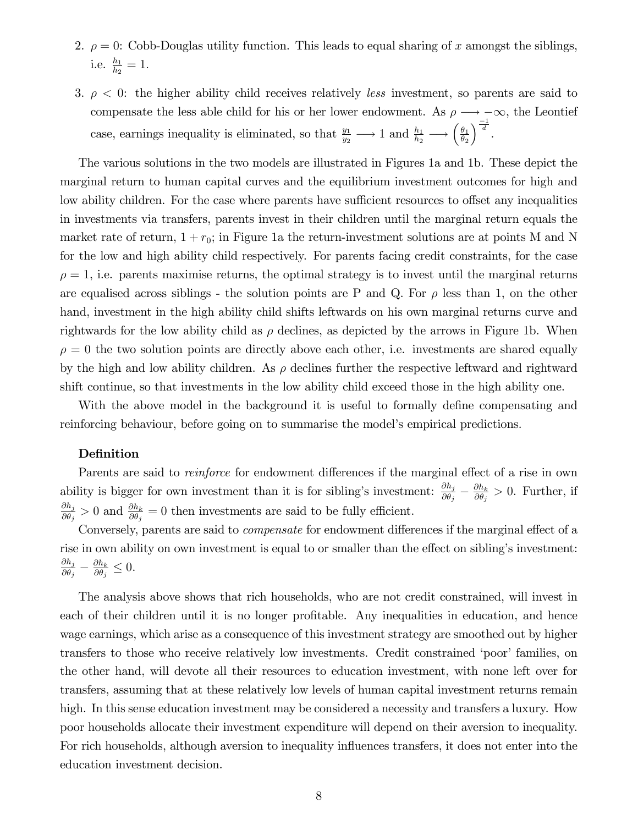- 2.  $\rho = 0$ : Cobb-Douglas utility function. This leads to equal sharing of x amongst the siblings, i.e.  $\frac{h_1}{h_2} = 1$ .
- 3.  $\rho < 0$ : the higher ability child receives relatively less investment, so parents are said to compensate the less able child for his or her lower endowment. As  $\rho \longrightarrow -\infty$ , the Leontief case, earnings inequality is eliminated, so that  $\frac{y_1}{y_2} \longrightarrow 1$  and  $\frac{h_1}{h_2} \longrightarrow \left(\frac{\theta_1}{\theta_2}\right)$  $\theta_2$  $\Big)^{\frac{-1}{d}}.$

The various solutions in the two models are illustrated in Figures 1a and 1b. These depict the marginal return to human capital curves and the equilibrium investment outcomes for high and low ability children. For the case where parents have sufficient resources to offset any inequalities in investments via transfers, parents invest in their children until the marginal return equals the market rate of return,  $1 + r_0$ ; in Figure 1a the return-investment solutions are at points M and N for the low and high ability child respectively. For parents facing credit constraints, for the case  $\rho = 1$ , i.e. parents maximise returns, the optimal strategy is to invest until the marginal returns are equalised across siblings - the solution points are P and Q. For  $\rho$  less than 1, on the other hand, investment in the high ability child shifts leftwards on his own marginal returns curve and rightwards for the low ability child as  $\rho$  declines, as depicted by the arrows in Figure 1b. When  $\rho = 0$  the two solution points are directly above each other, i.e. investments are shared equally by the high and low ability children. As  $\rho$  declines further the respective leftward and rightward shift continue, so that investments in the low ability child exceed those in the high ability one.

With the above model in the background it is useful to formally define compensating and reinforcing behaviour, before going on to summarise the model's empirical predictions.

#### Definition

Parents are said to *reinforce* for endowment differences if the marginal effect of a rise in own ability is bigger for own investment than it is for sibling's investment:  $\frac{\partial h_j}{\partial \theta_j} - \frac{\partial h_k}{\partial \theta_j}$  $\frac{\partial h_k}{\partial \theta_j} > 0$ . Further, if  $\partial h_j$  $\frac{\partial h_j}{\partial \theta_j} > 0$  and  $\frac{\partial h_k}{\partial \theta_j} = 0$  then investments are said to be fully efficient.

Conversely, parents are said to *compensate* for endowment differences if the marginal effect of a rise in own ability on own investment is equal to or smaller than the effect on sibling's investment:  $\partial h_j$  $\frac{\partial h_j}{\partial \theta_j}-\frac{\partial h_k}{\partial \theta_j}$  $\frac{\partial h_k}{\partial \theta_j} \leq 0.$ 

The analysis above shows that rich households, who are not credit constrained, will invest in each of their children until it is no longer profitable. Any inequalities in education, and hence wage earnings, which arise as a consequence of this investment strategy are smoothed out by higher transfers to those who receive relatively low investments. Credit constrained 'poor' families, on the other hand, will devote all their resources to education investment, with none left over for transfers, assuming that at these relatively low levels of human capital investment returns remain high. In this sense education investment may be considered a necessity and transfers a luxury. How poor households allocate their investment expenditure will depend on their aversion to inequality. For rich households, although aversion to inequality influences transfers, it does not enter into the education investment decision.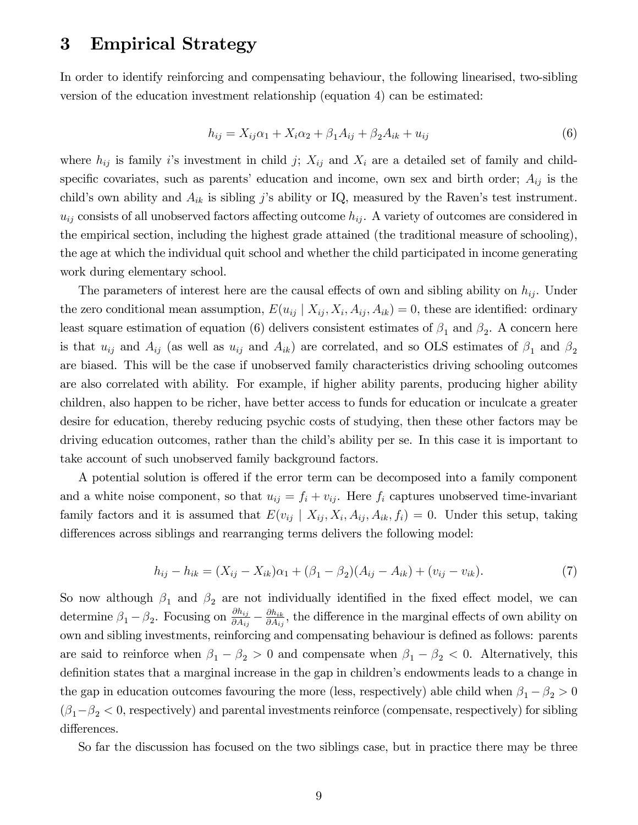# 3 Empirical Strategy

In order to identify reinforcing and compensating behaviour, the following linearised, two-sibling version of the education investment relationship (equation 4) can be estimated:

$$
h_{ij} = X_{ij}\alpha_1 + X_i\alpha_2 + \beta_1 A_{ij} + \beta_2 A_{ik} + u_{ij}
$$
\n(6)

where  $h_{ij}$  is family i's investment in child j;  $X_{ij}$  and  $X_i$  are a detailed set of family and childspecific covariates, such as parents' education and income, own sex and birth order;  $A_{ij}$  is the child's own ability and  $A_{ik}$  is sibling j's ability or IQ, measured by the Raven's test instrument.  $u_{ij}$  consists of all unobserved factors affecting outcome  $h_{ij}$ . A variety of outcomes are considered in the empirical section, including the highest grade attained (the traditional measure of schooling), the age at which the individual quit school and whether the child participated in income generating work during elementary school.

The parameters of interest here are the causal effects of own and sibling ability on  $h_{ij}$ . Under the zero conditional mean assumption,  $E(u_{ij} | X_{ij}, X_i, A_{ij}, A_{ik}) = 0$ , these are identified: ordinary least square estimation of equation (6) delivers consistent estimates of  $\beta_1$  and  $\beta_2$ . A concern here is that  $u_{ij}$  and  $A_{ij}$  (as well as  $u_{ij}$  and  $A_{ik}$ ) are correlated, and so OLS estimates of  $\beta_1$  and  $\beta_2$ are biased. This will be the case if unobserved family characteristics driving schooling outcomes are also correlated with ability. For example, if higher ability parents, producing higher ability children, also happen to be richer, have better access to funds for education or inculcate a greater desire for education, thereby reducing psychic costs of studying, then these other factors may be driving education outcomes, rather than the child's ability per se. In this case it is important to take account of such unobserved family background factors.

A potential solution is offered if the error term can be decomposed into a family component and a white noise component, so that  $u_{ij} = f_i + v_{ij}$ . Here  $f_i$  captures unobserved time-invariant family factors and it is assumed that  $E(v_{ij} | X_{ij}, X_i, A_{ij}, A_{ik}, f_i) = 0$ . Under this setup, taking differences across siblings and rearranging terms delivers the following model:

$$
h_{ij} - h_{ik} = (X_{ij} - X_{ik})\alpha_1 + (\beta_1 - \beta_2)(A_{ij} - A_{ik}) + (v_{ij} - v_{ik}).
$$
\n(7)

So now although  $\beta_1$  and  $\beta_2$  are not individually identified in the fixed effect model, we can determine  $\beta_1 - \beta_2$ . Focusing on  $\frac{\partial h_{ij}}{\partial A_{ij}} - \frac{\partial h_{ik}}{\partial A_{ij}}$  $\frac{\partial h_{ik}}{\partial A_{ij}}$ , the difference in the marginal effects of own ability on own and sibling investments, reinforcing and compensating behaviour is defined as follows: parents are said to reinforce when  $\beta_1 - \beta_2 > 0$  and compensate when  $\beta_1 - \beta_2 < 0$ . Alternatively, this definition states that a marginal increase in the gap in children's endowments leads to a change in the gap in education outcomes favouring the more (less, respectively) able child when  $\beta_1 - \beta_2 > 0$  $(\beta_1 - \beta_2 < 0$ , respectively) and parental investments reinforce (compensate, respectively) for sibling differences.

So far the discussion has focused on the two siblings case, but in practice there may be three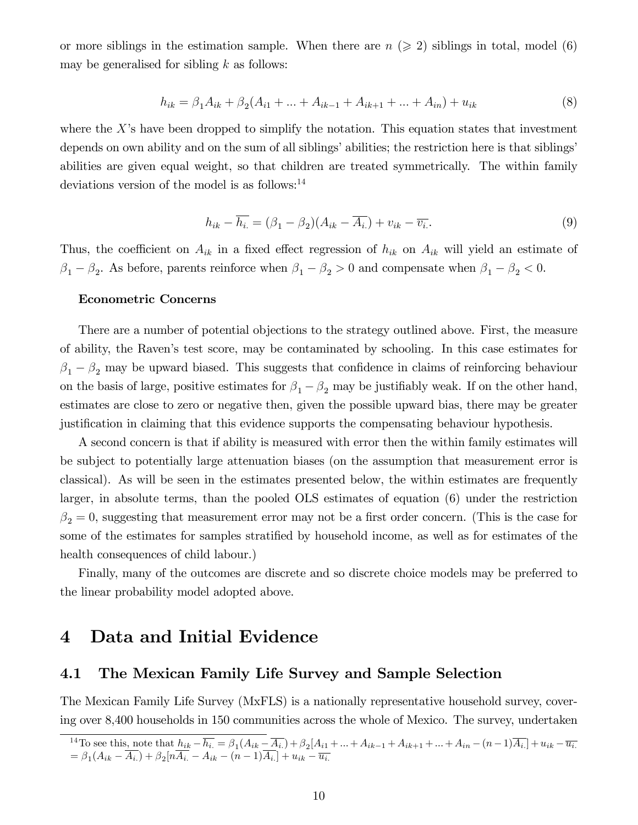or more siblings in the estimation sample. When there are  $n \geqslant 2$  siblings in total, model (6) may be generalised for sibling  $k$  as follows:

$$
h_{ik} = \beta_1 A_{ik} + \beta_2 (A_{i1} + \dots + A_{ik-1} + A_{ik+1} + \dots + A_{in}) + u_{ik}
$$
\n(8)

where the X's have been dropped to simplify the notation. This equation states that investment depends on own ability and on the sum of all siblings' abilities; the restriction here is that siblings' abilities are given equal weight, so that children are treated symmetrically. The within family deviations version of the model is as follows: $^{14}$ 

$$
h_{ik} - \overline{h_i} = (\beta_1 - \beta_2)(A_{ik} - \overline{A_i}) + v_{ik} - \overline{v_i}.
$$
\n(9)

Thus, the coefficient on  $A_{ik}$  in a fixed effect regression of  $h_{ik}$  on  $A_{ik}$  will yield an estimate of  $\beta_1 - \beta_2$ . As before, parents reinforce when  $\beta_1 - \beta_2 > 0$  and compensate when  $\beta_1 - \beta_2 < 0$ .

## Econometric Concerns

There are a number of potential objections to the strategy outlined above. First, the measure of ability, the Ravenís test score, may be contaminated by schooling. In this case estimates for  $\beta_1 - \beta_2$  may be upward biased. This suggests that confidence in claims of reinforcing behaviour on the basis of large, positive estimates for  $\beta_1 - \beta_2$  may be justifiably weak. If on the other hand, estimates are close to zero or negative then, given the possible upward bias, there may be greater justification in claiming that this evidence supports the compensating behaviour hypothesis.

A second concern is that if ability is measured with error then the within family estimates will be subject to potentially large attenuation biases (on the assumption that measurement error is classical). As will be seen in the estimates presented below, the within estimates are frequently larger, in absolute terms, than the pooled OLS estimates of equation (6) under the restriction  $\beta_2 = 0$ , suggesting that measurement error may not be a first order concern. (This is the case for some of the estimates for samples stratified by household income, as well as for estimates of the health consequences of child labour.)

Finally, many of the outcomes are discrete and so discrete choice models may be preferred to the linear probability model adopted above.

## 4 Data and Initial Evidence

## 4.1 The Mexican Family Life Survey and Sample Selection

The Mexican Family Life Survey (MxFLS) is a nationally representative household survey, covering over 8,400 households in 150 communities across the whole of Mexico. The survey, undertaken

<sup>&</sup>lt;sup>14</sup>To see this, note that  $h_{ik} - \overline{h_{i}} = \beta_1 (A_{ik} - \overline{A_{i}}) + \beta_2 [A_{i1} + ... + A_{ik-1} + A_{ik+1} + ... + A_{in} - (n-1)\overline{A_{i}}] + u_{ik} - \overline{u_{i}}$  $= \beta_1 (A_{ik} - A_{i.}) + \beta_2 [nA_{i.} - A_{ik} - (n-1)A_{i.}] + u_{ik} - \overline{u_{i.}}$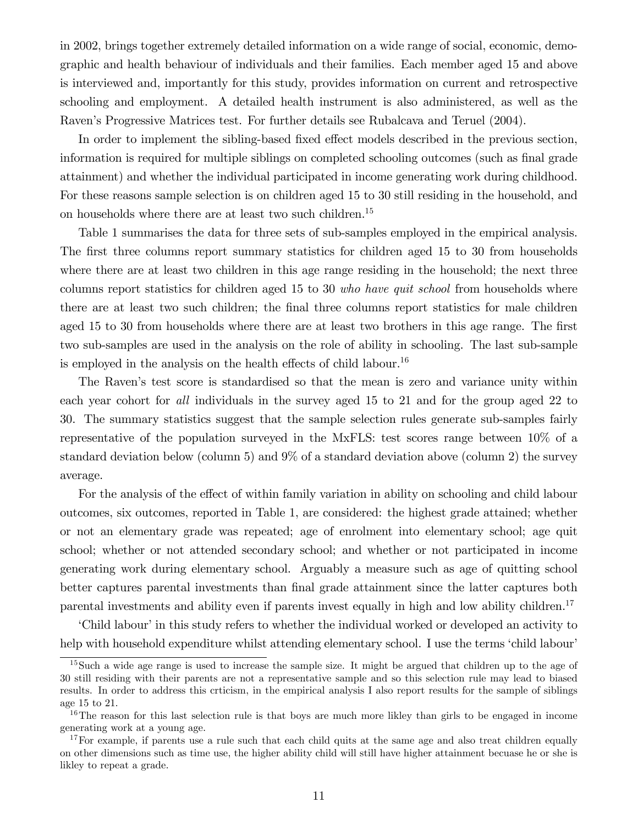in 2002, brings together extremely detailed information on a wide range of social, economic, demographic and health behaviour of individuals and their families. Each member aged 15 and above is interviewed and, importantly for this study, provides information on current and retrospective schooling and employment. A detailed health instrument is also administered, as well as the Ravenís Progressive Matrices test. For further details see Rubalcava and Teruel (2004).

In order to implement the sibling-based fixed effect models described in the previous section, information is required for multiple siblings on completed schooling outcomes (such as final grade attainment) and whether the individual participated in income generating work during childhood. For these reasons sample selection is on children aged 15 to 30 still residing in the household, and on households where there are at least two such children.<sup>15</sup>

Table 1 summarises the data for three sets of sub-samples employed in the empirical analysis. The first three columns report summary statistics for children aged 15 to 30 from households where there are at least two children in this age range residing in the household; the next three columns report statistics for children aged 15 to 30 who have quit school from households where there are at least two such children; the final three columns report statistics for male children aged 15 to 30 from households where there are at least two brothers in this age range. The first two sub-samples are used in the analysis on the role of ability in schooling. The last sub-sample is employed in the analysis on the health effects of child labour.<sup>16</sup>

The Raven's test score is standardised so that the mean is zero and variance unity within each year cohort for all individuals in the survey aged 15 to 21 and for the group aged 22 to 30. The summary statistics suggest that the sample selection rules generate sub-samples fairly representative of the population surveyed in the MxFLS: test scores range between 10% of a standard deviation below (column 5) and 9% of a standard deviation above (column 2) the survey average.

For the analysis of the effect of within family variation in ability on schooling and child labour outcomes, six outcomes, reported in Table 1, are considered: the highest grade attained; whether or not an elementary grade was repeated; age of enrolment into elementary school; age quit school; whether or not attended secondary school; and whether or not participated in income generating work during elementary school. Arguably a measure such as age of quitting school better captures parental investments than final grade attainment since the latter captures both parental investments and ability even if parents invest equally in high and low ability children.<sup>17</sup>

Child labour' in this study refers to whether the individual worked or developed an activity to help with household expenditure whilst attending elementary school. I use the terms 'child labour'

 $15$ Such a wide age range is used to increase the sample size. It might be argued that children up to the age of 30 still residing with their parents are not a representative sample and so this selection rule may lead to biased results. In order to address this crticism, in the empirical analysis I also report results for the sample of siblings age 15 to 21.

<sup>&</sup>lt;sup>16</sup>The reason for this last selection rule is that boys are much more likley than girls to be engaged in income generating work at a young age.

 $17$  For example, if parents use a rule such that each child quits at the same age and also treat children equally on other dimensions such as time use, the higher ability child will still have higher attainment becuase he or she is likley to repeat a grade.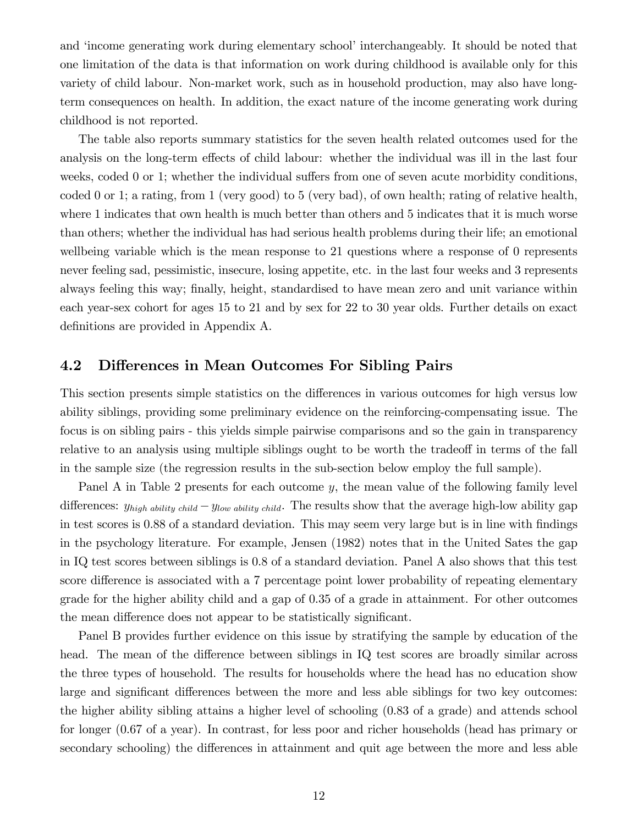and 'income generating work during elementary school' interchangeably. It should be noted that one limitation of the data is that information on work during childhood is available only for this variety of child labour. Non-market work, such as in household production, may also have longterm consequences on health. In addition, the exact nature of the income generating work during childhood is not reported.

The table also reports summary statistics for the seven health related outcomes used for the analysis on the long-term effects of child labour: whether the individual was ill in the last four weeks, coded  $0$  or 1; whether the individual suffers from one of seven acute morbidity conditions, coded 0 or 1; a rating, from 1 (very good) to 5 (very bad), of own health; rating of relative health, where 1 indicates that own health is much better than others and 5 indicates that it is much worse than others; whether the individual has had serious health problems during their life; an emotional wellbeing variable which is the mean response to 21 questions where a response of 0 represents never feeling sad, pessimistic, insecure, losing appetite, etc. in the last four weeks and 3 represents always feeling this way; finally, height, standardised to have mean zero and unit variance within each year-sex cohort for ages 15 to 21 and by sex for 22 to 30 year olds. Further details on exact definitions are provided in Appendix A.

## 4.2 Differences in Mean Outcomes For Sibling Pairs

This section presents simple statistics on the differences in various outcomes for high versus low ability siblings, providing some preliminary evidence on the reinforcing-compensating issue. The focus is on sibling pairs - this yields simple pairwise comparisons and so the gain in transparency relative to an analysis using multiple siblings ought to be worth the tradeoff in terms of the fall in the sample size (the regression results in the sub-section below employ the full sample).

Panel A in Table 2 presents for each outcome  $y$ , the mean value of the following family level differences:  $y_{high\ ability\ child} - y_{low\ ability\ child}$ . The results show that the average high-low ability gap in test scores is 0.88 of a standard deviation. This may seem very large but is in line with findings in the psychology literature. For example, Jensen (1982) notes that in the United Sates the gap in IQ test scores between siblings is 0.8 of a standard deviation. Panel A also shows that this test score difference is associated with a 7 percentage point lower probability of repeating elementary grade for the higher ability child and a gap of 0.35 of a grade in attainment. For other outcomes the mean difference does not appear to be statistically significant.

Panel B provides further evidence on this issue by stratifying the sample by education of the head. The mean of the difference between siblings in IQ test scores are broadly similar across the three types of household. The results for households where the head has no education show large and significant differences between the more and less able siblings for two key outcomes: the higher ability sibling attains a higher level of schooling (0.83 of a grade) and attends school for longer (0.67 of a year). In contrast, for less poor and richer households (head has primary or secondary schooling) the differences in attainment and quit age between the more and less able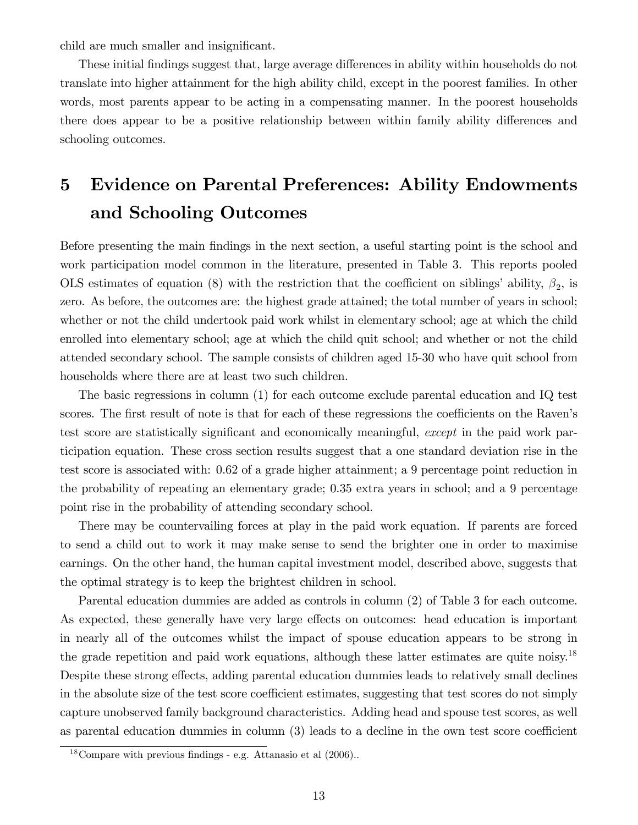child are much smaller and insignificant.

These initial findings suggest that, large average differences in ability within households do not translate into higher attainment for the high ability child, except in the poorest families. In other words, most parents appear to be acting in a compensating manner. In the poorest households there does appear to be a positive relationship between within family ability differences and schooling outcomes.

# 5 Evidence on Parental Preferences: Ability Endowments and Schooling Outcomes

Before presenting the main findings in the next section, a useful starting point is the school and work participation model common in the literature, presented in Table 3. This reports pooled OLS estimates of equation (8) with the restriction that the coefficient on siblings' ability,  $\beta_2$ , is zero. As before, the outcomes are: the highest grade attained; the total number of years in school; whether or not the child undertook paid work whilst in elementary school; age at which the child enrolled into elementary school; age at which the child quit school; and whether or not the child attended secondary school. The sample consists of children aged 15-30 who have quit school from households where there are at least two such children.

The basic regressions in column (1) for each outcome exclude parental education and IQ test scores. The first result of note is that for each of these regressions the coefficients on the Raven's test score are statistically significant and economically meaningful, except in the paid work participation equation. These cross section results suggest that a one standard deviation rise in the test score is associated with: 0.62 of a grade higher attainment; a 9 percentage point reduction in the probability of repeating an elementary grade; 0.35 extra years in school; and a 9 percentage point rise in the probability of attending secondary school.

There may be countervailing forces at play in the paid work equation. If parents are forced to send a child out to work it may make sense to send the brighter one in order to maximise earnings. On the other hand, the human capital investment model, described above, suggests that the optimal strategy is to keep the brightest children in school.

Parental education dummies are added as controls in column (2) of Table 3 for each outcome. As expected, these generally have very large effects on outcomes: head education is important in nearly all of the outcomes whilst the impact of spouse education appears to be strong in the grade repetition and paid work equations, although these latter estimates are quite noisy.<sup>18</sup> Despite these strong effects, adding parental education dummies leads to relatively small declines in the absolute size of the test score coefficient estimates, suggesting that test scores do not simply capture unobserved family background characteristics. Adding head and spouse test scores, as well as parental education dummies in column  $(3)$  leads to a decline in the own test score coefficient

 $18$ Compare with previous findings - e.g. Attanasio et al  $(2006)$ .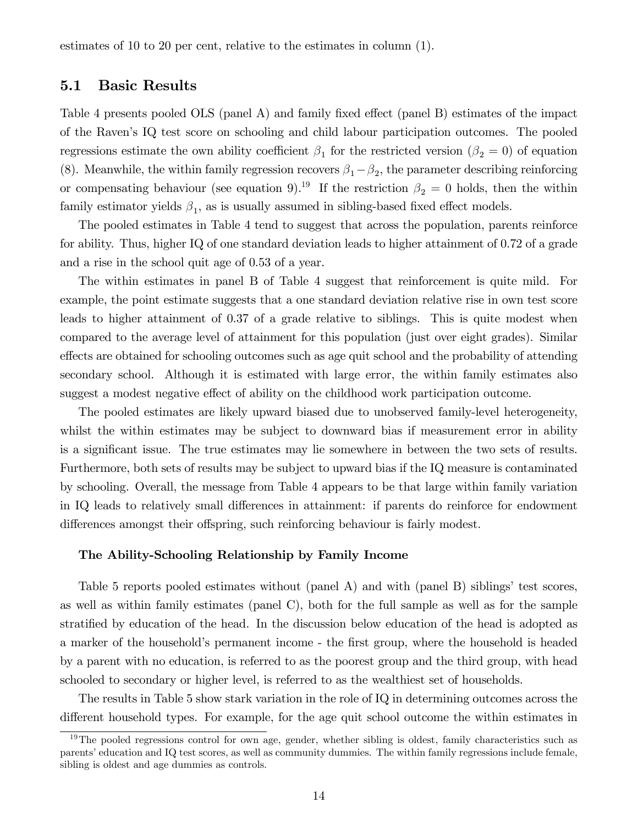estimates of 10 to 20 per cent, relative to the estimates in column (1).

## 5.1 Basic Results

Table 4 presents pooled OLS (panel A) and family fixed effect (panel B) estimates of the impact of the Ravenís IQ test score on schooling and child labour participation outcomes. The pooled regressions estimate the own ability coefficient  $\beta_1$  for the restricted version  $(\beta_2 = 0)$  of equation (8). Meanwhile, the within family regression recovers  $\beta_1 - \beta_2$ , the parameter describing reinforcing or compensating behaviour (see equation 9).<sup>19</sup> If the restriction  $\beta_2 = 0$  holds, then the within family estimator yields  $\beta_1$ , as is usually assumed in sibling-based fixed effect models.

The pooled estimates in Table 4 tend to suggest that across the population, parents reinforce for ability. Thus, higher IQ of one standard deviation leads to higher attainment of 0.72 of a grade and a rise in the school quit age of 0.53 of a year.

The within estimates in panel B of Table 4 suggest that reinforcement is quite mild. For example, the point estimate suggests that a one standard deviation relative rise in own test score leads to higher attainment of 0.37 of a grade relative to siblings. This is quite modest when compared to the average level of attainment for this population (just over eight grades). Similar effects are obtained for schooling outcomes such as age quit school and the probability of attending secondary school. Although it is estimated with large error, the within family estimates also suggest a modest negative effect of ability on the childhood work participation outcome.

The pooled estimates are likely upward biased due to unobserved family-level heterogeneity, whilst the within estimates may be subject to downward bias if measurement error in ability is a significant issue. The true estimates may lie somewhere in between the two sets of results. Furthermore, both sets of results may be subject to upward bias if the IQ measure is contaminated by schooling. Overall, the message from Table 4 appears to be that large within family variation in IQ leads to relatively small differences in attainment: if parents do reinforce for endowment differences amongst their offspring, such reinforcing behaviour is fairly modest.

#### The Ability-Schooling Relationship by Family Income

Table 5 reports pooled estimates without (panel A) and with (panel B) siblings' test scores, as well as within family estimates (panel C), both for the full sample as well as for the sample stratified by education of the head. In the discussion below education of the head is adopted as a marker of the household's permanent income - the first group, where the household is headed by a parent with no education, is referred to as the poorest group and the third group, with head schooled to secondary or higher level, is referred to as the wealthiest set of households.

The results in Table 5 show stark variation in the role of IQ in determining outcomes across the different household types. For example, for the age quit school outcome the within estimates in

<sup>&</sup>lt;sup>19</sup>The pooled regressions control for own age, gender, whether sibling is oldest, family characteristics such as parents' education and IQ test scores, as well as community dummies. The within family regressions include female, sibling is oldest and age dummies as controls.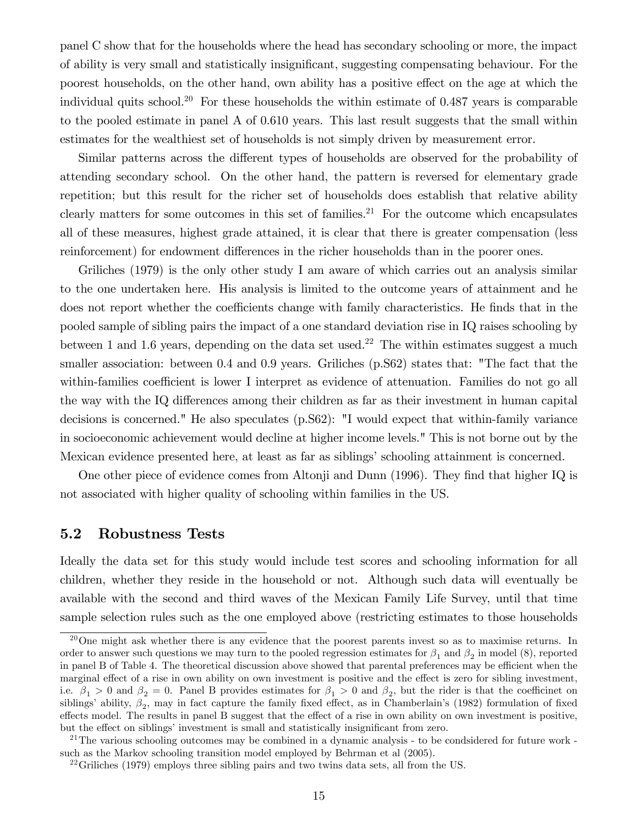panel C show that for the households where the head has secondary schooling or more, the impact of ability is very small and statistically insigniÖcant, suggesting compensating behaviour. For the poorest households, on the other hand, own ability has a positive effect on the age at which the individual quits school.<sup>20</sup> For these households the within estimate of  $0.487$  years is comparable to the pooled estimate in panel A of 0.610 years. This last result suggests that the small within estimates for the wealthiest set of households is not simply driven by measurement error.

Similar patterns across the different types of households are observed for the probability of attending secondary school. On the other hand, the pattern is reversed for elementary grade repetition; but this result for the richer set of households does establish that relative ability clearly matters for some outcomes in this set of families.<sup>21</sup> For the outcome which encapsulates all of these measures, highest grade attained, it is clear that there is greater compensation (less reinforcement) for endowment differences in the richer households than in the poorer ones.

Griliches (1979) is the only other study I am aware of which carries out an analysis similar to the one undertaken here. His analysis is limited to the outcome years of attainment and he does not report whether the coefficients change with family characteristics. He finds that in the pooled sample of sibling pairs the impact of a one standard deviation rise in IQ raises schooling by between 1 and 1.6 years, depending on the data set used.<sup>22</sup> The within estimates suggest a much smaller association: between 0.4 and 0.9 years. Griliches (p.S62) states that: "The fact that the within-families coefficient is lower I interpret as evidence of attenuation. Families do not go all the way with the IQ differences among their children as far as their investment in human capital decisions is concerned." He also speculates (p.S62): "I would expect that within-family variance in socioeconomic achievement would decline at higher income levels." This is not borne out by the Mexican evidence presented here, at least as far as siblings' schooling attainment is concerned.

One other piece of evidence comes from Altonji and Dunn (1996). They find that higher IQ is not associated with higher quality of schooling within families in the US.

## 5.2 Robustness Tests

Ideally the data set for this study would include test scores and schooling information for all children, whether they reside in the household or not. Although such data will eventually be available with the second and third waves of the Mexican Family Life Survey, until that time sample selection rules such as the one employed above (restricting estimates to those households

 $^{20}$ One might ask whether there is any evidence that the poorest parents invest so as to maximise returns. In order to answer such questions we may turn to the pooled regression estimates for  $\beta_1$  and  $\beta_2$  in model (8), reported in panel B of Table 4. The theoretical discussion above showed that parental preferences may be efficient when the marginal effect of a rise in own ability on own investment is positive and the effect is zero for sibling investment, i.e.  $\beta_1 > 0$  and  $\beta_2 = 0$ . Panel B provides estimates for  $\beta_1 > 0$  and  $\beta_2$ , but the rider is that the coefficinet on siblings' ability,  $\beta_2$ , may in fact capture the family fixed effect, as in Chamberlain's (1982) formulation of fixed effects model. The results in panel B suggest that the effect of a rise in own ability on own investment is positive, but the effect on siblings' investment is small and statistically insignificant from zero.

<sup>&</sup>lt;sup>21</sup>The various schooling outcomes may be combined in a dynamic analysis - to be condsidered for future work such as the Markov schooling transition model employed by Behrman et al (2005).

 $^{22}$ Griliches (1979) employs three sibling pairs and two twins data sets, all from the US.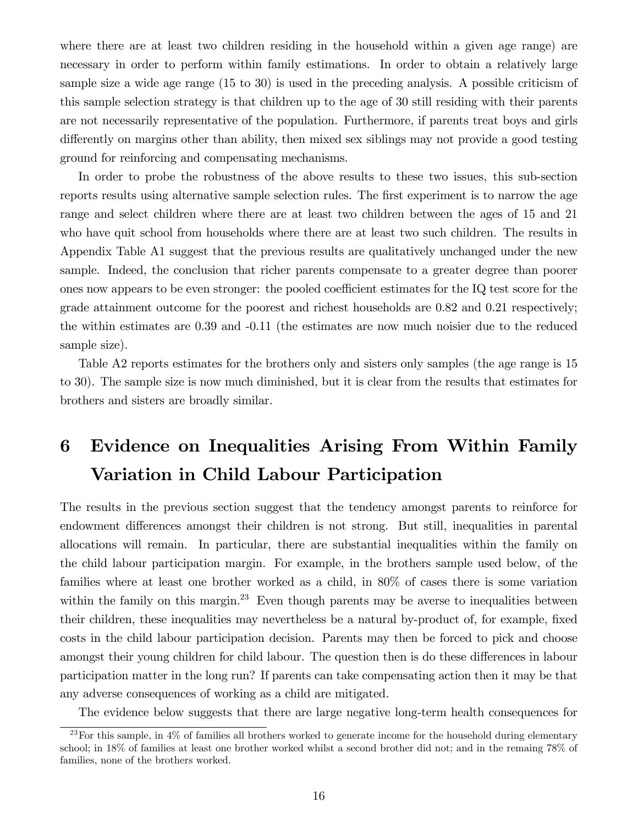where there are at least two children residing in the household within a given age range) are necessary in order to perform within family estimations. In order to obtain a relatively large sample size a wide age range (15 to 30) is used in the preceding analysis. A possible criticism of this sample selection strategy is that children up to the age of 30 still residing with their parents are not necessarily representative of the population. Furthermore, if parents treat boys and girls differently on margins other than ability, then mixed sex siblings may not provide a good testing ground for reinforcing and compensating mechanisms.

In order to probe the robustness of the above results to these two issues, this sub-section reports results using alternative sample selection rules. The first experiment is to narrow the age range and select children where there are at least two children between the ages of 15 and 21 who have quit school from households where there are at least two such children. The results in Appendix Table A1 suggest that the previous results are qualitatively unchanged under the new sample. Indeed, the conclusion that richer parents compensate to a greater degree than poorer ones now appears to be even stronger: the pooled coefficient estimates for the IQ test score for the grade attainment outcome for the poorest and richest households are 0.82 and 0.21 respectively; the within estimates are 0.39 and -0.11 (the estimates are now much noisier due to the reduced sample size).

Table A2 reports estimates for the brothers only and sisters only samples (the age range is 15 to 30). The sample size is now much diminished, but it is clear from the results that estimates for brothers and sisters are broadly similar.

# 6 Evidence on Inequalities Arising From Within Family Variation in Child Labour Participation

The results in the previous section suggest that the tendency amongst parents to reinforce for endowment differences amongst their children is not strong. But still, inequalities in parental allocations will remain. In particular, there are substantial inequalities within the family on the child labour participation margin. For example, in the brothers sample used below, of the families where at least one brother worked as a child, in 80% of cases there is some variation within the family on this margin.<sup>23</sup> Even though parents may be averse to inequalities between their children, these inequalities may nevertheless be a natural by-product of, for example, fixed costs in the child labour participation decision. Parents may then be forced to pick and choose amongst their young children for child labour. The question then is do these differences in labour participation matter in the long run? If parents can take compensating action then it may be that any adverse consequences of working as a child are mitigated.

The evidence below suggests that there are large negative long-term health consequences for

 $^{23}$ For this sample, in  $4\%$  of families all brothers worked to generate income for the household during elementary school; in 18% of families at least one brother worked whilst a second brother did not; and in the remaing 78% of families, none of the brothers worked.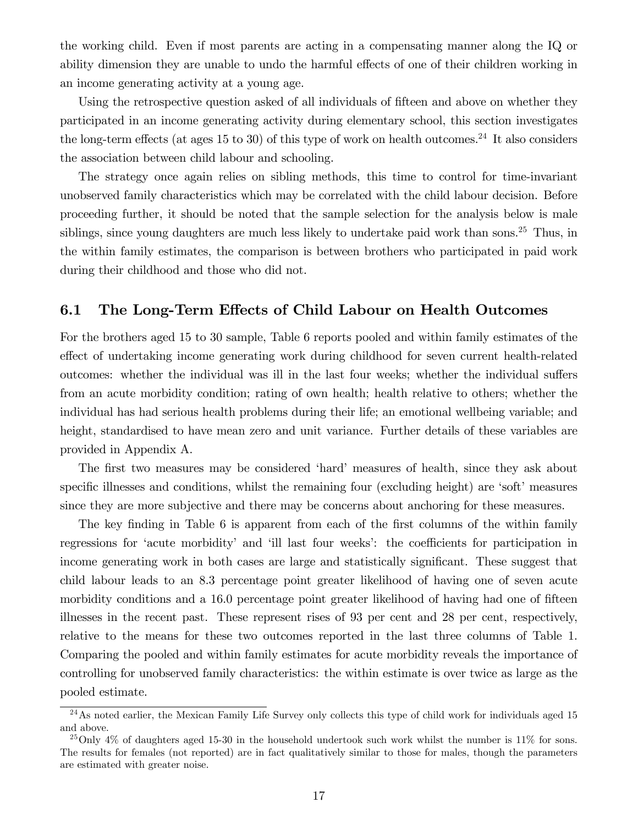the working child. Even if most parents are acting in a compensating manner along the IQ or ability dimension they are unable to undo the harmful effects of one of their children working in an income generating activity at a young age.

Using the retrospective question asked of all individuals of fifteen and above on whether they participated in an income generating activity during elementary school, this section investigates the long-term effects (at ages 15 to 30) of this type of work on health outcomes.<sup>24</sup> It also considers the association between child labour and schooling.

The strategy once again relies on sibling methods, this time to control for time-invariant unobserved family characteristics which may be correlated with the child labour decision. Before proceeding further, it should be noted that the sample selection for the analysis below is male siblings, since young daughters are much less likely to undertake paid work than sons.<sup>25</sup> Thus, in the within family estimates, the comparison is between brothers who participated in paid work during their childhood and those who did not.

## 6.1 The Long-Term Effects of Child Labour on Health Outcomes

For the brothers aged 15 to 30 sample, Table 6 reports pooled and within family estimates of the effect of undertaking income generating work during childhood for seven current health-related outcomes: whether the individual was ill in the last four weeks; whether the individual suffers from an acute morbidity condition; rating of own health; health relative to others; whether the individual has had serious health problems during their life; an emotional wellbeing variable; and height, standardised to have mean zero and unit variance. Further details of these variables are provided in Appendix A.

The first two measures may be considered 'hard' measures of health, since they ask about specific illnesses and conditions, whilst the remaining four (excluding height) are 'soft' measures since they are more subjective and there may be concerns about anchoring for these measures.

The key finding in Table 6 is apparent from each of the first columns of the within family regressions for 'acute morbidity' and 'ill last four weeks': the coefficients for participation in income generating work in both cases are large and statistically significant. These suggest that child labour leads to an 8.3 percentage point greater likelihood of having one of seven acute morbidity conditions and a 16.0 percentage point greater likelihood of having had one of fifteen illnesses in the recent past. These represent rises of 93 per cent and 28 per cent, respectively, relative to the means for these two outcomes reported in the last three columns of Table 1. Comparing the pooled and within family estimates for acute morbidity reveals the importance of controlling for unobserved family characteristics: the within estimate is over twice as large as the pooled estimate.

<sup>&</sup>lt;sup>24</sup>As noted earlier, the Mexican Family Life Survey only collects this type of child work for individuals aged 15 and above.

 $^{25}$ Only 4% of daughters aged 15-30 in the household undertook such work whilst the number is 11% for sons. The results for females (not reported) are in fact qualitatively similar to those for males, though the parameters are estimated with greater noise.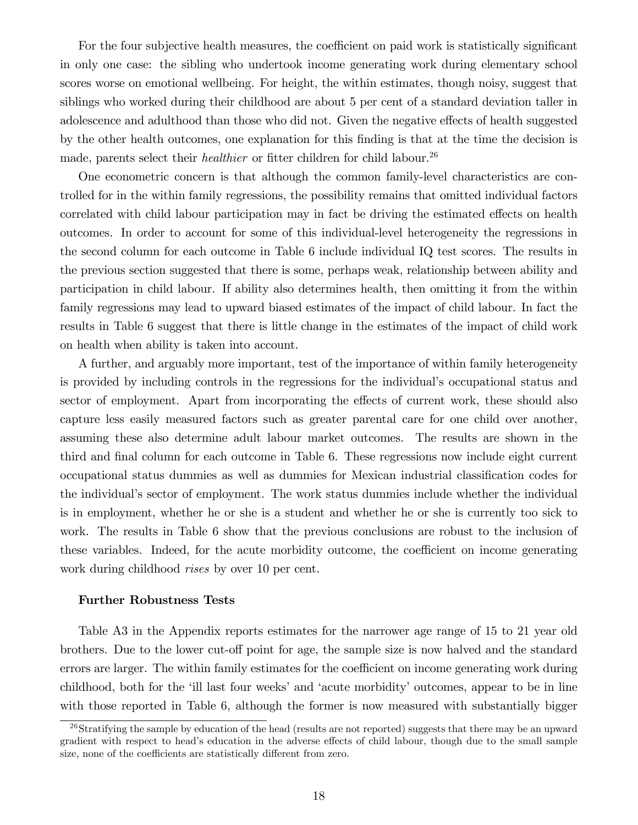For the four subjective health measures, the coefficient on paid work is statistically significant in only one case: the sibling who undertook income generating work during elementary school scores worse on emotional wellbeing. For height, the within estimates, though noisy, suggest that siblings who worked during their childhood are about 5 per cent of a standard deviation taller in adolescence and adulthood than those who did not. Given the negative effects of health suggested by the other health outcomes, one explanation for this Önding is that at the time the decision is made, parents select their *healthier* or fitter children for child labour.<sup>26</sup>

One econometric concern is that although the common family-level characteristics are controlled for in the within family regressions, the possibility remains that omitted individual factors correlated with child labour participation may in fact be driving the estimated effects on health outcomes. In order to account for some of this individual-level heterogeneity the regressions in the second column for each outcome in Table 6 include individual IQ test scores. The results in the previous section suggested that there is some, perhaps weak, relationship between ability and participation in child labour. If ability also determines health, then omitting it from the within family regressions may lead to upward biased estimates of the impact of child labour. In fact the results in Table 6 suggest that there is little change in the estimates of the impact of child work on health when ability is taken into account.

A further, and arguably more important, test of the importance of within family heterogeneity is provided by including controls in the regressions for the individual's occupational status and sector of employment. Apart from incorporating the effects of current work, these should also capture less easily measured factors such as greater parental care for one child over another, assuming these also determine adult labour market outcomes. The results are shown in the third and final column for each outcome in Table 6. These regressions now include eight current occupational status dummies as well as dummies for Mexican industrial classification codes for the individualís sector of employment. The work status dummies include whether the individual is in employment, whether he or she is a student and whether he or she is currently too sick to work. The results in Table 6 show that the previous conclusions are robust to the inclusion of these variables. Indeed, for the acute morbidity outcome, the coefficient on income generating work during childhood *rises* by over 10 per cent.

#### Further Robustness Tests

Table A3 in the Appendix reports estimates for the narrower age range of 15 to 21 year old brothers. Due to the lower cut-off point for age, the sample size is now halved and the standard errors are larger. The within family estimates for the coefficient on income generating work during childhood, both for the 'ill last four weeks' and 'acute morbidity' outcomes, appear to be in line with those reported in Table 6, although the former is now measured with substantially bigger

 $^{26}$ Stratifying the sample by education of the head (results are not reported) suggests that there may be an upward gradient with respect to head's education in the adverse effects of child labour, though due to the small sample size, none of the coefficients are statistically different from zero.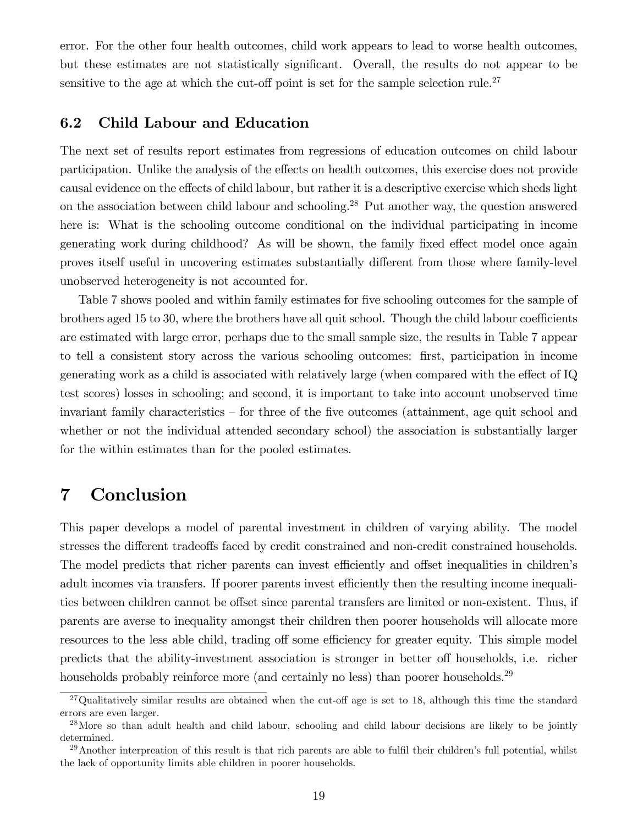error. For the other four health outcomes, child work appears to lead to worse health outcomes, but these estimates are not statistically significant. Overall, the results do not appear to be sensitive to the age at which the cut-off point is set for the sample selection rule.<sup>27</sup>

## 6.2 Child Labour and Education

The next set of results report estimates from regressions of education outcomes on child labour participation. Unlike the analysis of the effects on health outcomes, this exercise does not provide causal evidence on the effects of child labour, but rather it is a descriptive exercise which sheds light on the association between child labour and schooling.<sup>28</sup> Put another way, the question answered here is: What is the schooling outcome conditional on the individual participating in income generating work during childhood? As will be shown, the family fixed effect model once again proves itself useful in uncovering estimates substantially different from those where family-level unobserved heterogeneity is not accounted for.

Table 7 shows pooled and within family estimates for five schooling outcomes for the sample of brothers aged 15 to 30, where the brothers have all quit school. Though the child labour coefficients are estimated with large error, perhaps due to the small sample size, the results in Table 7 appear to tell a consistent story across the various schooling outcomes: Örst, participation in income generating work as a child is associated with relatively large (when compared with the effect of  $IQ$ ) test scores) losses in schooling; and second, it is important to take into account unobserved time invariant family characteristics  $\overline{\phantom{a}}$  for three of the five outcomes (attainment, age quit school and whether or not the individual attended secondary school) the association is substantially larger for the within estimates than for the pooled estimates.

# 7 Conclusion

This paper develops a model of parental investment in children of varying ability. The model stresses the different tradeoffs faced by credit constrained and non-credit constrained households. The model predicts that richer parents can invest efficiently and offset inequalities in children's adult incomes via transfers. If poorer parents invest efficiently then the resulting income inequalities between children cannot be offset since parental transfers are limited or non-existent. Thus, if parents are averse to inequality amongst their children then poorer households will allocate more resources to the less able child, trading off some efficiency for greater equity. This simple model predicts that the ability-investment association is stronger in better off households, i.e. richer households probably reinforce more (and certainly no less) than poorer households.<sup>29</sup>

 $^{27}$ Qualitatively similar results are obtained when the cut-off age is set to 18, although this time the standard errors are even larger.

<sup>&</sup>lt;sup>28</sup>More so than adult health and child labour, schooling and child labour decisions are likely to be jointly determined.

 $^{29}$ Another interpreation of this result is that rich parents are able to fulfil their children's full potential, whilst the lack of opportunity limits able children in poorer households.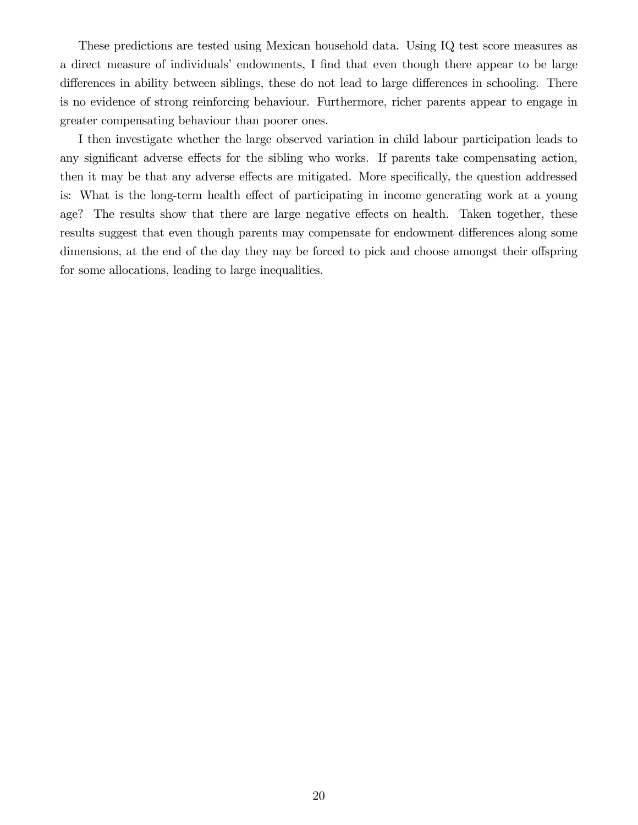These predictions are tested using Mexican household data. Using IQ test score measures as a direct measure of individuals' endowments, I find that even though there appear to be large differences in ability between siblings, these do not lead to large differences in schooling. There is no evidence of strong reinforcing behaviour. Furthermore, richer parents appear to engage in greater compensating behaviour than poorer ones.

I then investigate whether the large observed variation in child labour participation leads to any significant adverse effects for the sibling who works. If parents take compensating action, then it may be that any adverse effects are mitigated. More specifically, the question addressed is: What is the long-term health effect of participating in income generating work at a young age? The results show that there are large negative effects on health. Taken together, these results suggest that even though parents may compensate for endowment differences along some dimensions, at the end of the day they nay be forced to pick and choose amongst their offspring for some allocations, leading to large inequalities.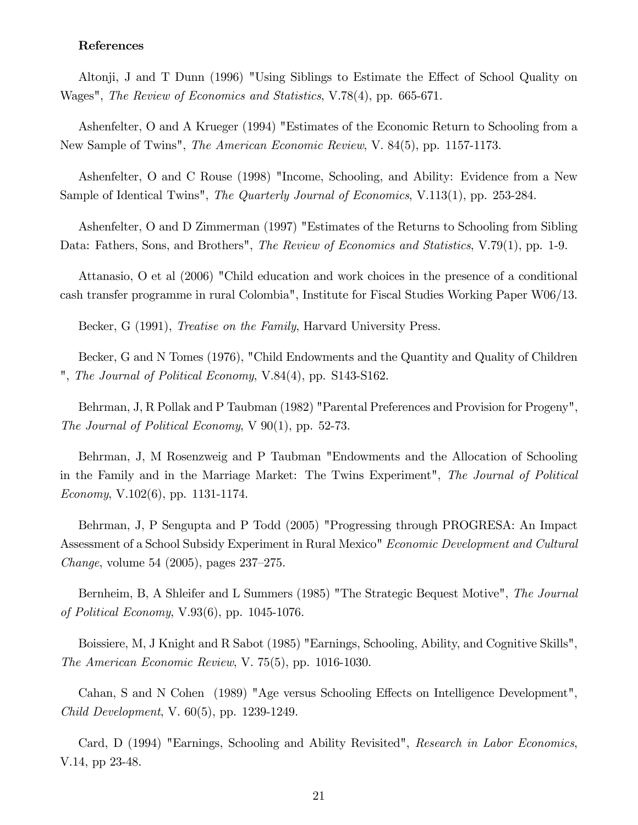#### References

Altonji, J and T Dunn (1996) "Using Siblings to Estimate the Effect of School Quality on Wages", The Review of Economics and Statistics, V.78(4), pp. 665-671.

Ashenfelter, O and A Krueger (1994) "Estimates of the Economic Return to Schooling from a New Sample of Twins", The American Economic Review, V. 84(5), pp. 1157-1173.

Ashenfelter, O and C Rouse (1998) "Income, Schooling, and Ability: Evidence from a New Sample of Identical Twins", The Quarterly Journal of Economics, V.113(1), pp. 253-284.

Ashenfelter, O and D Zimmerman (1997) "Estimates of the Returns to Schooling from Sibling Data: Fathers, Sons, and Brothers", *The Review of Economics and Statistics*, V.79(1), pp. 1-9.

Attanasio, O et al (2006) "Child education and work choices in the presence of a conditional cash transfer programme in rural Colombia", Institute for Fiscal Studies Working Paper W06/13.

Becker, G (1991), *Treatise on the Family*, Harvard University Press.

Becker, G and N Tomes (1976), "Child Endowments and the Quantity and Quality of Children ", The Journal of Political Economy, V.84(4), pp. S143-S162.

Behrman, J, R Pollak and P Taubman (1982) "Parental Preferences and Provision for Progeny", The Journal of Political Economy,  $V$  90(1), pp. 52-73.

Behrman, J, M Rosenzweig and P Taubman "Endowments and the Allocation of Schooling in the Family and in the Marriage Market: The Twins Experiment", The Journal of Political Economy, V.102(6), pp. 1131-1174.

Behrman, J, P Sengupta and P Todd (2005) "Progressing through PROGRESA: An Impact Assessment of a School Subsidy Experiment in Rural Mexico" Economic Development and Cultural *Change*, volume 54  $(2005)$ , pages  $237-275$ .

Bernheim, B, A Shleifer and L Summers (1985) "The Strategic Bequest Motive", The Journal of Political Economy, V.93(6), pp. 1045-1076.

Boissiere, M, J Knight and R Sabot (1985) "Earnings, Schooling, Ability, and Cognitive Skills", The American Economic Review, V. 75(5), pp. 1016-1030.

Cahan, S and N Cohen (1989) "Age versus Schooling Effects on Intelligence Development", Child Development, V. 60(5), pp. 1239-1249.

Card, D (1994) "Earnings, Schooling and Ability Revisited", Research in Labor Economics, V.14, pp 23-48.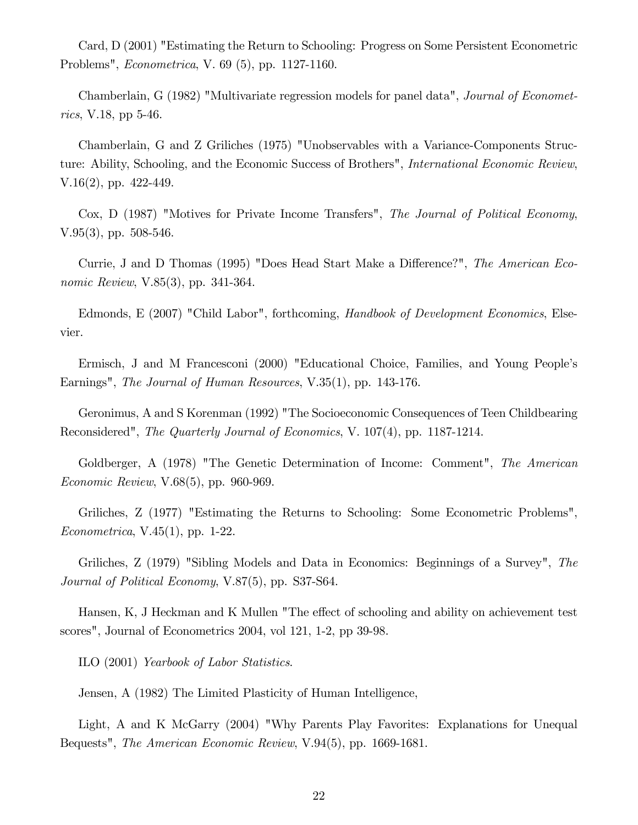Card, D (2001) "Estimating the Return to Schooling: Progress on Some Persistent Econometric Problems", Econometrica, V. 69 (5), pp. 1127-1160.

Chamberlain, G (1982) "Multivariate regression models for panel data", Journal of Econometrics, V.18, pp 5-46.

Chamberlain, G and Z Griliches (1975) "Unobservables with a Variance-Components Structure: Ability, Schooling, and the Economic Success of Brothers", International Economic Review, V.16(2), pp. 422-449.

Cox, D (1987) "Motives for Private Income Transfers", The Journal of Political Economy, V.95(3), pp. 508-546.

Currie, J and D Thomas (1995) "Does Head Start Make a Difference?", The American Economic Review, V.85(3), pp. 341-364.

Edmonds, E (2007) "Child Labor", forthcoming, Handbook of Development Economics, Elsevier.

Ermisch, J and M Francesconi (2000) "Educational Choice, Families, and Young People's Earnings", *The Journal of Human Resources*, V.35(1), pp. 143-176.

Geronimus, A and S Korenman (1992) "The Socioeconomic Consequences of Teen Childbearing Reconsidered", The Quarterly Journal of Economics, V. 107(4), pp. 1187-1214.

Goldberger, A (1978) "The Genetic Determination of Income: Comment", The American Economic Review, V.68(5), pp. 960-969.

Griliches, Z (1977) "Estimating the Returns to Schooling: Some Econometric Problems", Econometrica, V.45(1), pp. 1-22.

Griliches, Z (1979) "Sibling Models and Data in Economics: Beginnings of a Survey", The Journal of Political Economy, V.87(5), pp. S37-S64.

Hansen, K, J Heckman and K Mullen "The effect of schooling and ability on achievement test scores", Journal of Econometrics 2004, vol 121, 1-2, pp 39-98.

ILO (2001) Yearbook of Labor Statistics.

Jensen, A (1982) The Limited Plasticity of Human Intelligence,

Light, A and K McGarry (2004) "Why Parents Play Favorites: Explanations for Unequal Bequests", The American Economic Review, V.94(5), pp. 1669-1681.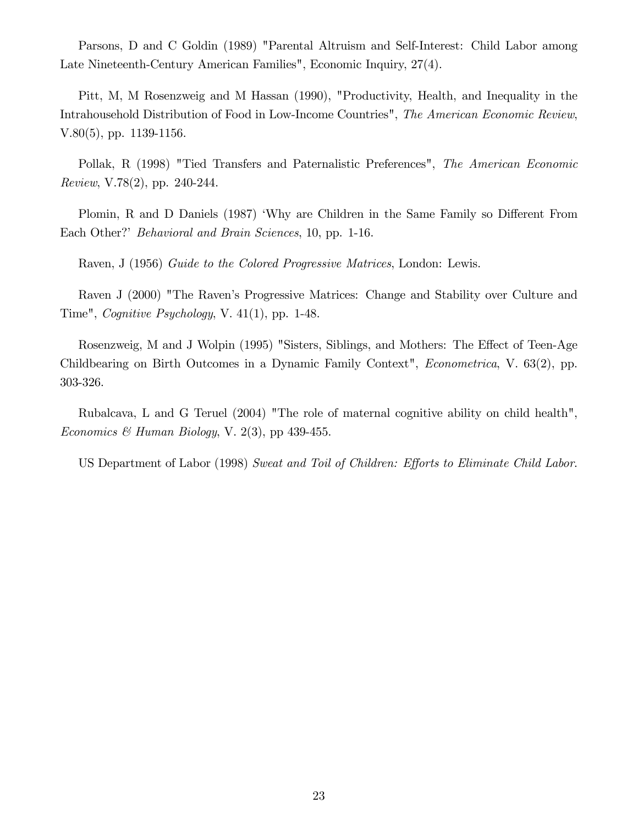Parsons, D and C Goldin (1989) "Parental Altruism and Self-Interest: Child Labor among Late Nineteenth-Century American Families", Economic Inquiry, 27(4).

Pitt, M, M Rosenzweig and M Hassan (1990), "Productivity, Health, and Inequality in the Intrahousehold Distribution of Food in Low-Income Countries", The American Economic Review, V.80(5), pp. 1139-1156.

Pollak, R (1998) "Tied Transfers and Paternalistic Preferences", The American Economic Review, V.78(2), pp. 240-244.

Plomin, R and D Daniels (1987) 'Why are Children in the Same Family so Different From Each Other?' *Behavioral and Brain Sciences*, 10, pp. 1-16.

Raven, J (1956) Guide to the Colored Progressive Matrices, London: Lewis.

Raven J (2000) "The Raven's Progressive Matrices: Change and Stability over Culture and Time", Cognitive Psychology, V. 41(1), pp. 1-48.

Rosenzweig, M and J Wolpin (1995) "Sisters, Siblings, and Mothers: The Effect of Teen-Age Childbearing on Birth Outcomes in a Dynamic Family Context", Econometrica, V. 63(2), pp. 303-326.

Rubalcava, L and G Teruel (2004) "The role of maternal cognitive ability on child health", Economics & Human Biology, V. 2(3), pp 439-455.

US Department of Labor (1998) Sweat and Toil of Children: Efforts to Eliminate Child Labor.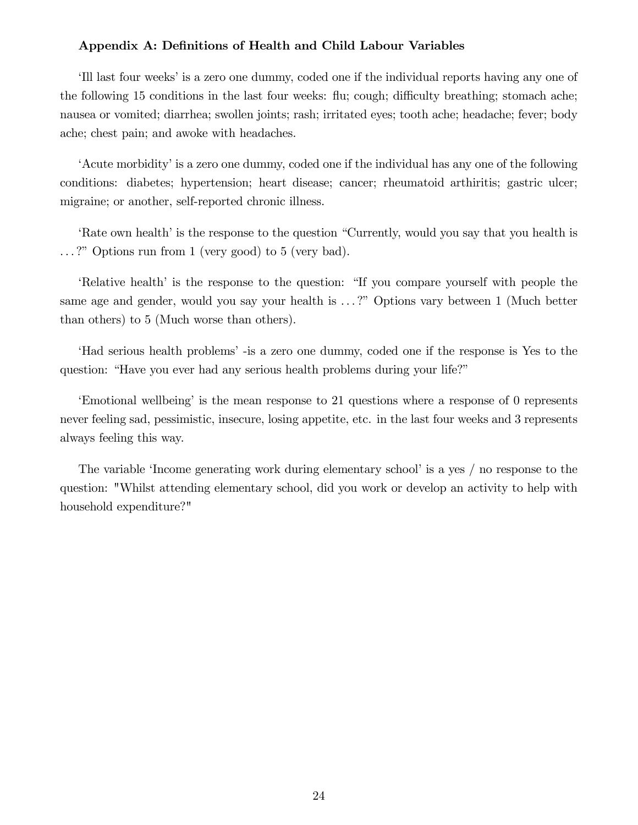## Appendix A: Definitions of Health and Child Labour Variables

III last four weeks' is a zero one dummy, coded one if the individual reports having any one of the following 15 conditions in the last four weeks: flu; cough; difficulty breathing; stomach ache; nausea or vomited; diarrhea; swollen joints; rash; irritated eyes; tooth ache; headache; fever; body ache; chest pain; and awoke with headaches.

ëAcute morbidityíis a zero one dummy, coded one if the individual has any one of the following conditions: diabetes; hypertension; heart disease; cancer; rheumatoid arthiritis; gastric ulcer; migraine; or another, self-reported chronic illness.

Rate own health is the response to the question "Currently, would you say that you health is  $\ldots$ ?" Options run from 1 (very good) to 5 (very bad).

ERE iRelative health' is the response to the question: "If you compare yourself with people the same age and gender, would you say your health is ...?" Options vary between 1 (Much better than others) to 5 (Much worse than others).

ëHad serious health problemsí -is a zero one dummy, coded one if the response is Yes to the question: "Have you ever had any serious health problems during your life?"

Emotional wellbeing' is the mean response to 21 questions where a response of 0 represents never feeling sad, pessimistic, insecure, losing appetite, etc. in the last four weeks and 3 represents always feeling this way.

The variable 'Income generating work during elementary school' is a yes  $/$  no response to the question: "Whilst attending elementary school, did you work or develop an activity to help with household expenditure?"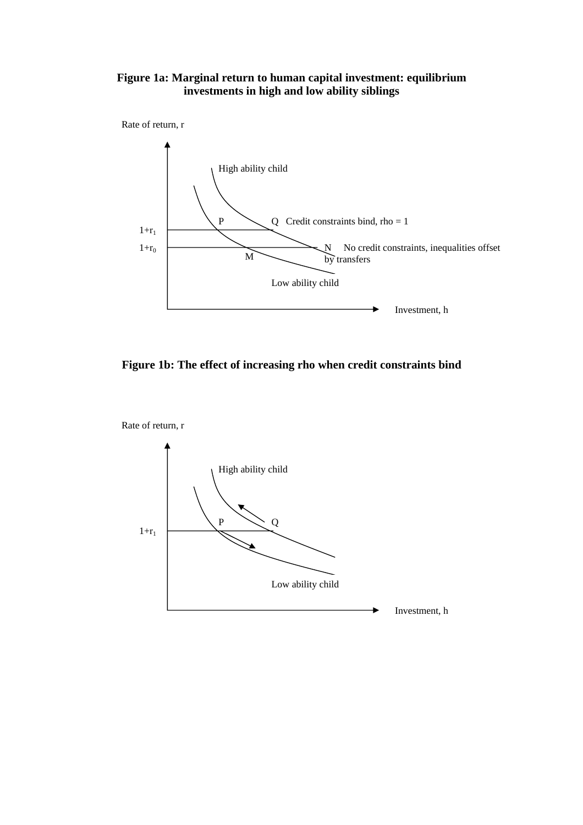## **Figure 1a: Marginal return to human capital investment: equilibrium investments in high and low ability siblings**





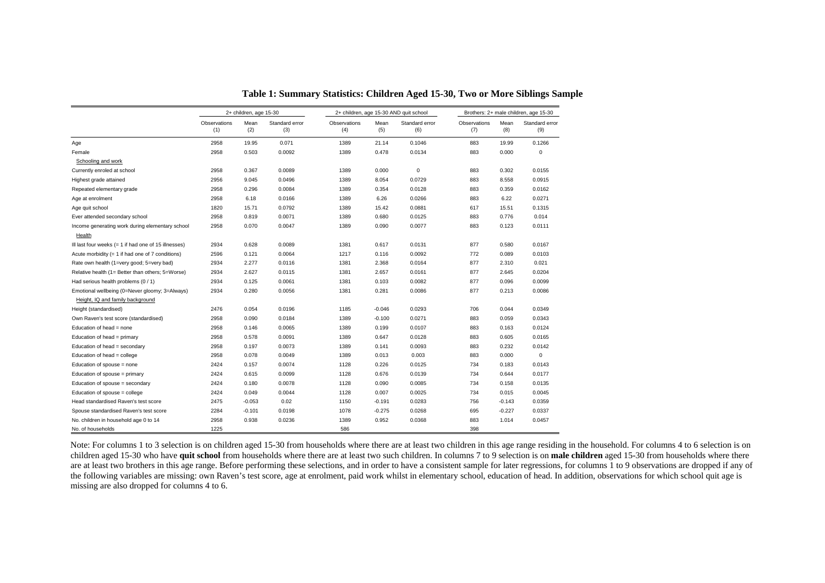|                                                      |                     | 2+ children, age 15-30 |                       |                     |             | 2+ children, age 15-30 AND quit school | Brothers: 2+ male children, age 15-30 |             |                       |  |
|------------------------------------------------------|---------------------|------------------------|-----------------------|---------------------|-------------|----------------------------------------|---------------------------------------|-------------|-----------------------|--|
|                                                      | Observations<br>(1) | Mean<br>(2)            | Standard error<br>(3) | Observations<br>(4) | Mean<br>(5) | Standard error<br>(6)                  | Observations<br>(7)                   | Mean<br>(8) | Standard error<br>(9) |  |
| Age                                                  | 2958                | 19.95                  | 0.071                 | 1389                | 21.14       | 0.1046                                 | 883                                   | 19.99       | 0.1266                |  |
| Female                                               | 2958                | 0.503                  | 0.0092                | 1389                | 0.478       | 0.0134                                 | 883                                   | 0.000       | 0                     |  |
| Schooling and work                                   |                     |                        |                       |                     |             |                                        |                                       |             |                       |  |
| Currently enroled at school                          | 2958                | 0.367                  | 0.0089                | 1389                | 0.000       | $\mathbf 0$                            | 883                                   | 0.302       | 0.0155                |  |
| Highest grade attained                               | 2956                | 9.045                  | 0.0496                | 1389                | 8.054       | 0.0729                                 | 883                                   | 8.558       | 0.0915                |  |
| Repeated elementary grade                            | 2958                | 0.296                  | 0.0084                | 1389                | 0.354       | 0.0128                                 | 883                                   | 0.359       | 0.0162                |  |
| Age at enrolment                                     | 2958                | 6.18                   | 0.0166                | 1389                | 6.26        | 0.0266                                 | 883                                   | 6.22        | 0.0271                |  |
| Age quit school                                      | 1820                | 15.71                  | 0.0792                | 1389                | 15.42       | 0.0881                                 | 617                                   | 15.51       | 0.1315                |  |
| Ever attended secondary school                       | 2958                | 0.819                  | 0.0071                | 1389                | 0.680       | 0.0125                                 | 883                                   | 0.776       | 0.014                 |  |
| Income generating work during elementary school      | 2958                | 0.070                  | 0.0047                | 1389                | 0.090       | 0.0077                                 | 883                                   | 0.123       | 0.0111                |  |
| Health                                               |                     |                        |                       |                     |             |                                        |                                       |             |                       |  |
| III last four weeks (= 1 if had one of 15 illnesses) | 2934                | 0.628                  | 0.0089                | 1381                | 0.617       | 0.0131                                 | 877                                   | 0.580       | 0.0167                |  |
| Acute morbidity $(= 1$ if had one of 7 conditions)   | 2596                | 0.121                  | 0.0064                | 1217                | 0.116       | 0.0092                                 | 772                                   | 0.089       | 0.0103                |  |
| Rate own health (1=very good; 5=very bad)            | 2934                | 2.277                  | 0.0116                | 1381                | 2.368       | 0.0164                                 | 877                                   | 2.310       | 0.021                 |  |
| Relative health (1= Better than others; 5=Worse)     | 2934                | 2.627                  | 0.0115                | 1381                | 2.657       | 0.0161                                 | 877                                   | 2.645       | 0.0204                |  |
| Had serious health problems (0 / 1)                  | 2934                | 0.125                  | 0.0061                | 1381                | 0.103       | 0.0082                                 | 877                                   | 0.096       | 0.0099                |  |
| Emotional wellbeing (0=Never gloomy; 3=Always)       | 2934                | 0.280                  | 0.0056                | 1381                | 0.281       | 0.0086                                 | 877                                   | 0.213       | 0.0086                |  |
| Height, IQ and family background                     |                     |                        |                       |                     |             |                                        |                                       |             |                       |  |
| Height (standardised)                                | 2476                | 0.054                  | 0.0196                | 1185                | $-0.046$    | 0.0293                                 | 706                                   | 0.044       | 0.0349                |  |
| Own Raven's test score (standardised)                | 2958                | 0.090                  | 0.0184                | 1389                | $-0.100$    | 0.0271                                 | 883                                   | 0.059       | 0.0343                |  |
| Education of head = none                             | 2958                | 0.146                  | 0.0065                | 1389                | 0.199       | 0.0107                                 | 883                                   | 0.163       | 0.0124                |  |
| Education of head = primary                          | 2958                | 0.578                  | 0.0091                | 1389                | 0.647       | 0.0128                                 | 883                                   | 0.605       | 0.0165                |  |
| Education of head = secondary                        | 2958                | 0.197                  | 0.0073                | 1389                | 0.141       | 0.0093                                 | 883                                   | 0.232       | 0.0142                |  |
| Education of head = college                          | 2958                | 0.078                  | 0.0049                | 1389                | 0.013       | 0.003                                  | 883                                   | 0.000       | $\mathbf 0$           |  |
| Education of spouse = none                           | 2424                | 0.157                  | 0.0074                | 1128                | 0.226       | 0.0125                                 | 734                                   | 0.183       | 0.0143                |  |
| Education of spouse = primary                        | 2424                | 0.615                  | 0.0099                | 1128                | 0.676       | 0.0139                                 | 734                                   | 0.644       | 0.0177                |  |
| Education of spouse = secondary                      | 2424                | 0.180                  | 0.0078                | 1128                | 0.090       | 0.0085                                 | 734                                   | 0.158       | 0.0135                |  |
| Education of spouse = college                        | 2424                | 0.049                  | 0.0044                | 1128                | 0.007       | 0.0025                                 | 734                                   | 0.015       | 0.0045                |  |
| Head standardised Raven's test score                 | 2475                | $-0.053$               | 0.02                  | 1150                | $-0.191$    | 0.0283                                 | 756                                   | $-0.143$    | 0.0359                |  |
| Spouse standardised Raven's test score               | 2284                | $-0.101$               | 0.0198                | 1078                | $-0.275$    | 0.0268                                 | 695                                   | $-0.227$    | 0.0337                |  |
| No. children in household age 0 to 14                | 2958                | 0.938                  | 0.0236                | 1389                | 0.952       | 0.0368                                 | 883                                   | 1.014       | 0.0457                |  |
| No. of households                                    | 1225                |                        |                       | 586                 |             |                                        | 398                                   |             |                       |  |

**Table 1: Summary Statistics: Children Aged 15-30, Two or More Siblings Sample**

Note: For columns 1 to 3 selection is on children aged 15-30 from households where there are at least two children in this age range residing in the household. For columns 4 to 6 selection is on children aged 15-30 who have **quit school** from households where there are at least two such children. In columns 7 to 9 selection is on **male children** aged 15-30 from households where there are at least two brothers in this age range. Before performing these selections, and in order to have a consistent sample for later regressions, for columns 1 to 9 observations are dropped if any of the following variables are missing: own Raven's test score, age at enrolment, paid work whilst in elementary school, education of head. In addition, observations for which school quit age is missing are also dropped for columns 4 to 6.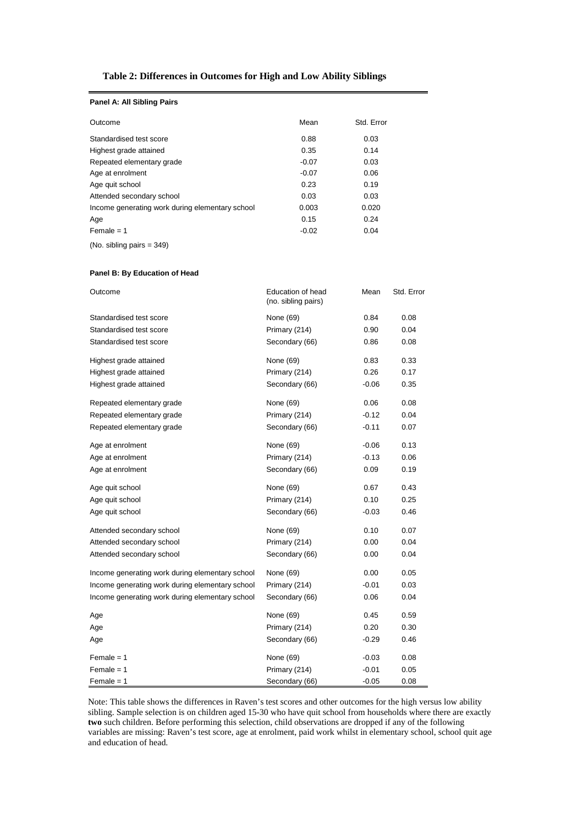## **Table 2: Differences in Outcomes for High and Low Ability Siblings**

| Panel A: All Sibling Pairs                      |         |            |
|-------------------------------------------------|---------|------------|
| Outcome                                         | Mean    | Std. Error |
| Standardised test score                         | 0.88    | 0.03       |
| Highest grade attained                          | 0.35    | 0.14       |
| Repeated elementary grade                       | $-0.07$ | 0.03       |
| Age at enrolment                                | $-0.07$ | 0.06       |
| Age quit school                                 | 0.23    | 0.19       |
| Attended secondary school                       | 0.03    | 0.03       |
| Income generating work during elementary school | 0.003   | 0.020      |
| Age                                             | 0.15    | 0.24       |
| $Female = 1$                                    | $-0.02$ | 0.04       |

(No. sibling pairs = 349)

#### **Panel B: By Education of Head**

| Outcome                                         | Education of head<br>(no. sibling pairs) | Mean    | Std. Error |
|-------------------------------------------------|------------------------------------------|---------|------------|
| Standardised test score                         | None (69)                                | 0.84    | 0.08       |
| Standardised test score                         | Primary (214)                            | 0.90    | 0.04       |
| Standardised test score                         | Secondary (66)                           | 0.86    | 0.08       |
| Highest grade attained                          | None (69)                                | 0.83    | 0.33       |
| Highest grade attained                          | Primary (214)                            | 0.26    | 0.17       |
| Highest grade attained                          | Secondary (66)                           | $-0.06$ | 0.35       |
| Repeated elementary grade                       | None (69)                                | 0.06    | 0.08       |
| Repeated elementary grade                       | Primary (214)                            | $-0.12$ | 0.04       |
| Repeated elementary grade                       | Secondary (66)                           | $-0.11$ | 0.07       |
| Age at enrolment                                | None (69)                                | $-0.06$ | 0.13       |
| Age at enrolment                                | Primary (214)                            | $-0.13$ | 0.06       |
| Age at enrolment                                | Secondary (66)                           | 0.09    | 0.19       |
| Age quit school                                 | None (69)                                | 0.67    | 0.43       |
| Age quit school                                 | Primary (214)                            | 0.10    | 0.25       |
| Age quit school                                 | Secondary (66)                           | $-0.03$ | 0.46       |
| Attended secondary school                       | None (69)                                | 0.10    | 0.07       |
| Attended secondary school                       | Primary (214)                            | 0.00    | 0.04       |
| Attended secondary school                       | Secondary (66)                           | 0.00    | 0.04       |
| Income generating work during elementary school | None (69)                                | 0.00    | 0.05       |
| Income generating work during elementary school | Primary (214)                            | $-0.01$ | 0.03       |
| Income generating work during elementary school | Secondary (66)                           | 0.06    | 0.04       |
| Age                                             | None (69)                                | 0.45    | 0.59       |
| Age                                             | Primary (214)                            | 0.20    | 0.30       |
| Age                                             | Secondary (66)                           | $-0.29$ | 0.46       |
| Female $= 1$                                    | None (69)                                | $-0.03$ | 0.08       |
| $Female = 1$                                    | Primary (214)                            | $-0.01$ | 0.05       |
| Female = 1                                      | Secondary (66)                           | $-0.05$ | 0.08       |

Note: This table shows the differences in Raven's test scores and other outcomes for the high versus low ability sibling. Sample selection is on children aged 15-30 who have quit school from households where there are exactly **two** such children. Before performing this selection, child observations are dropped if any of the following variables are missing: Raven's test score, age at enrolment, paid work whilst in elementary school, school quit age and education of head.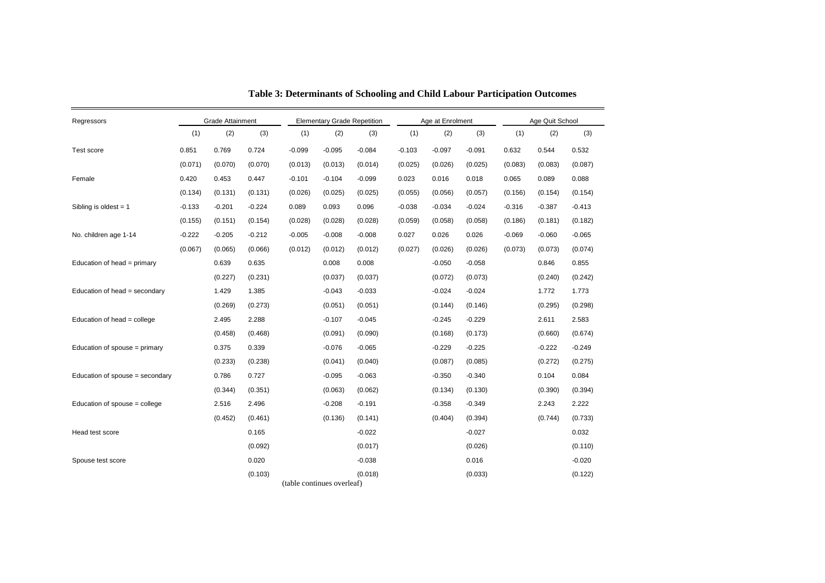| Regressors                      |          | Grade Attainment |          | <b>Elementary Grade Repetition</b> |          |          |          | Age at Enrolment |          | Age Quit School |          |          |
|---------------------------------|----------|------------------|----------|------------------------------------|----------|----------|----------|------------------|----------|-----------------|----------|----------|
|                                 | (1)      | (2)              | (3)      | (1)                                | (2)      | (3)      | (1)      | (2)              | (3)      | (1)             | (2)      | (3)      |
| Test score                      | 0.851    | 0.769            | 0.724    | $-0.099$                           | $-0.095$ | $-0.084$ | $-0.103$ | $-0.097$         | $-0.091$ | 0.632           | 0.544    | 0.532    |
|                                 | (0.071)  | (0.070)          | (0.070)  | (0.013)                            | (0.013)  | (0.014)  | (0.025)  | (0.026)          | (0.025)  | (0.083)         | (0.083)  | (0.087)  |
| Female                          | 0.420    | 0.453            | 0.447    | $-0.101$                           | $-0.104$ | $-0.099$ | 0.023    | 0.016            | 0.018    | 0.065           | 0.089    | 0.088    |
|                                 | (0.134)  | (0.131)          | (0.131)  | (0.026)                            | (0.025)  | (0.025)  | (0.055)  | (0.056)          | (0.057)  | (0.156)         | (0.154)  | (0.154)  |
| Sibling is oldest $= 1$         | $-0.133$ | $-0.201$         | $-0.224$ | 0.089                              | 0.093    | 0.096    | $-0.038$ | $-0.034$         | $-0.024$ | $-0.316$        | $-0.387$ | $-0.413$ |
|                                 | (0.155)  | (0.151)          | (0.154)  | (0.028)                            | (0.028)  | (0.028)  | (0.059)  | (0.058)          | (0.058)  | (0.186)         | (0.181)  | (0.182)  |
| No. children age 1-14           | $-0.222$ | $-0.205$         | $-0.212$ | $-0.005$                           | $-0.008$ | $-0.008$ | 0.027    | 0.026            | 0.026    | $-0.069$        | $-0.060$ | $-0.065$ |
|                                 | (0.067)  | (0.065)          | (0.066)  | (0.012)                            | (0.012)  | (0.012)  | (0.027)  | (0.026)          | (0.026)  | (0.073)         | (0.073)  | (0.074)  |
| Education of head = primary     |          | 0.639            | 0.635    |                                    | 0.008    | 0.008    |          | $-0.050$         | $-0.058$ |                 | 0.846    | 0.855    |
|                                 |          | (0.227)          | (0.231)  |                                    | (0.037)  | (0.037)  |          | (0.072)          | (0.073)  |                 | (0.240)  | (0.242)  |
| Education of head = secondary   |          | 1.429            | 1.385    |                                    | $-0.043$ | $-0.033$ |          | $-0.024$         | -0.024   |                 | 1.772    | 1.773    |
|                                 |          | (0.269)          | (0.273)  |                                    | (0.051)  | (0.051)  |          | (0.144)          | (0.146)  |                 | (0.295)  | (0.298)  |
| Education of head = college     |          | 2.495            | 2.288    |                                    | $-0.107$ | $-0.045$ |          | $-0.245$         | -0.229   |                 | 2.611    | 2.583    |
|                                 |          | (0.458)          | (0.468)  |                                    | (0.091)  | (0.090)  |          | (0.168)          | (0.173)  |                 | (0.660)  | (0.674)  |
| Education of spouse = primary   |          | 0.375            | 0.339    |                                    | $-0.076$ | $-0.065$ |          | $-0.229$         | $-0.225$ |                 | -0.222   | $-0.249$ |
|                                 |          | (0.233)          | (0.238)  |                                    | (0.041)  | (0.040)  |          | (0.087)          | (0.085)  |                 | (0.272)  | (0.275)  |
| Education of spouse = secondary |          | 0.786            | 0.727    |                                    | $-0.095$ | $-0.063$ |          | $-0.350$         | $-0.340$ |                 | 0.104    | 0.084    |
|                                 |          | (0.344)          | (0.351)  |                                    | (0.063)  | (0.062)  |          | (0.134)          | (0.130)  |                 | (0.390)  | (0.394)  |
| Education of spouse = college   |          | 2.516            | 2.496    |                                    | $-0.208$ | $-0.191$ |          | $-0.358$         | $-0.349$ |                 | 2.243    | 2.222    |
|                                 |          | (0.452)          | (0.461)  |                                    | (0.136)  | (0.141)  |          | (0.404)          | (0.394)  |                 | (0.744)  | (0.733)  |
| Head test score                 |          |                  | 0.165    |                                    |          | $-0.022$ |          |                  | $-0.027$ |                 |          | 0.032    |
|                                 |          |                  | (0.092)  |                                    |          | (0.017)  |          |                  | (0.026)  |                 |          | (0.110)  |
| Spouse test score               |          |                  | 0.020    |                                    |          | $-0.038$ |          |                  | 0.016    |                 |          | $-0.020$ |
|                                 |          |                  | (0.103)  | (table continues overleaf)         |          | (0.018)  |          |                  | (0.033)  |                 |          | (0.122)  |

**Table 3: Determinants of Schooling and Child Labour Participation Outcomes**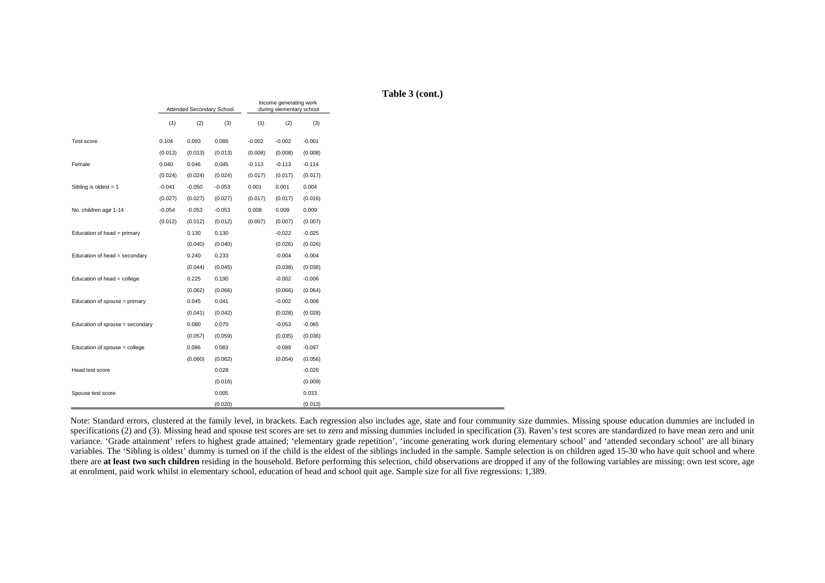|                                 |          | Attended Secondary School |          |          | Income generating work<br>during elementary school |          | Table 3 |
|---------------------------------|----------|---------------------------|----------|----------|----------------------------------------------------|----------|---------|
|                                 | (1)      | (2)                       | (3)      | (1)      | (2)                                                | (3)      |         |
| Test score                      | 0.104    | 0.093                     | 0.086    | $-0.002$ | $-0.002$                                           | $-0.001$ |         |
|                                 | (0.013)  | (0.013)                   | (0.013)  | (0.008)  | (0.008)                                            | (0.008)  |         |
| Female                          | 0.040    | 0.046                     | 0.045    | $-0.113$ | $-0.113$                                           | $-0.114$ |         |
|                                 | (0.024)  | (0.024)                   | (0.024)  | (0.017)  | (0.017)                                            | (0.017)  |         |
| Sibling is oldest = $1$         | $-0.041$ | $-0.050$                  | $-0.053$ | 0.001    | 0.001                                              | 0.004    |         |
|                                 | (0.027)  | (0.027)                   | (0.027)  | (0.017)  | (0.017)                                            | (0.016)  |         |
| No. children age 1-14           | $-0.054$ | $-0.053$                  | $-0.053$ | 0.008    | 0.009                                              | 0.009    |         |
|                                 | (0.012)  | (0.012)                   | (0.012)  | (0.007)  | (0.007)                                            | (0.007)  |         |
| Education of head = primary     |          | 0.130                     | 0.130    |          | $-0.022$                                           | $-0.025$ |         |
|                                 |          | (0.040)                   | (0.040)  |          | (0.026)                                            | (0.026)  |         |
| Education of head = secondary   |          | 0.240                     | 0.233    |          | $-0.004$                                           | $-0.004$ |         |
|                                 |          | (0.044)                   | (0.045)  |          | (0.038)                                            | (0.038)  |         |
| Education of head = college     |          | 0.225                     | 0.190    |          | $-0.002$                                           | $-0.006$ |         |
|                                 |          | (0.062)                   | (0.066)  |          | (0.066)                                            | (0.064)  |         |
| Education of spouse = primary   |          | 0.045                     | 0.041    |          | $-0.002$                                           | $-0.008$ |         |
|                                 |          | (0.041)                   | (0.042)  |          | (0.028)                                            | (0.028)  |         |
| Education of spouse = secondary |          | 0.080                     | 0.070    |          | $-0.053$                                           | $-0.065$ |         |
|                                 |          | (0.057)                   | (0.059)  |          | (0.035)                                            | (0.036)  |         |
| Education of spouse = college   |          | 0.086                     | 0.083    |          | $-0.089$                                           | $-0.097$ |         |
|                                 |          | (0.060)                   | (0.062)  |          | (0.054)                                            | (0.056)  |         |
| Head test score                 |          |                           | 0.028    |          |                                                    | $-0.026$ |         |
|                                 |          |                           | (0.016)  |          |                                                    | (0.009)  |         |
| Spouse test score               |          |                           | 0.005    |          |                                                    | 0.033    |         |
|                                 |          |                           | (0.020)  |          |                                                    | (0.013)  |         |

**Table 3 (cont.)** 

Note: Standard errors, clustered at the family level, in brackets. Each regression also includes age, state and four community size dummies. Missing spouse education dummies are included in specifications (2) and (3). Missing head and spouse test scores are set to zero and missing dummies included in specification (3). Raven's test scores are standardized to have mean zero and unit variance. 'Grade attainment' refers to highest grade attained; 'elementary grade repetition', 'income generating work during elementary school' and 'attended secondary school' are all binary variables. The 'Sibling is oldest' dummy is turned on if the child is the eldest of the siblings included in the sample. Sample selection is on children aged 15-30 who have quit school and where there are at least two such children residing in the household. Before performing this selection, child observations are dropped if any of the following variables are missing: own test score, age at enrolment, paid work whilst in elementary school, education of head and school quit age. Sample size for all five regressions: 1,389.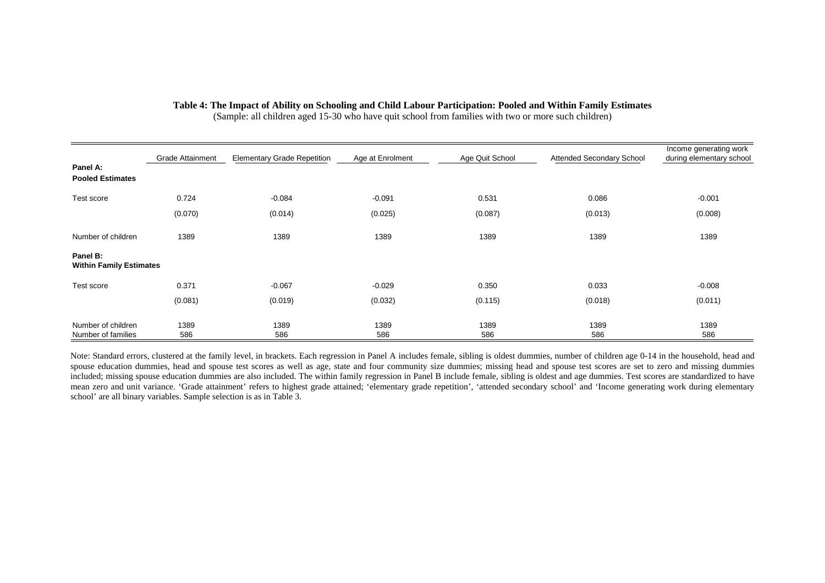| Panel A:                                   | <b>Grade Attainment</b> | <b>Elementary Grade Repetition</b> | Age at Enrolment | Age Quit School | <b>Attended Secondary School</b> | Income generating work<br>during elementary school |
|--------------------------------------------|-------------------------|------------------------------------|------------------|-----------------|----------------------------------|----------------------------------------------------|
| <b>Pooled Estimates</b>                    |                         |                                    |                  |                 |                                  |                                                    |
| Test score                                 | 0.724                   | $-0.084$                           | $-0.091$         | 0.531           | 0.086                            | $-0.001$                                           |
|                                            | (0.070)                 | (0.014)                            | (0.025)          | (0.087)         | (0.013)                          | (0.008)                                            |
| Number of children                         | 1389                    | 1389                               | 1389             | 1389            | 1389                             | 1389                                               |
| Panel B:<br><b>Within Family Estimates</b> |                         |                                    |                  |                 |                                  |                                                    |
| Test score                                 | 0.371                   | $-0.067$                           | $-0.029$         | 0.350           | 0.033                            | $-0.008$                                           |
|                                            | (0.081)                 | (0.019)                            | (0.032)          | (0.115)         | (0.018)                          | (0.011)                                            |
| Number of children<br>Number of families   | 1389<br>586             | 1389<br>586                        | 1389<br>586      | 1389<br>586     | 1389<br>586                      | 1389<br>586                                        |

**Table 4: The Impact of Ability on Schooling and Child Labour Participation: Pooled and Within Family Estimates** 

(Sample: all children aged 15-30 who have quit school from families with two or more such children)

Note: Standard errors, clustered at the family level, in brackets. Each regression in Panel A includes female, sibling is oldest dummies, number of children age 0-14 in the household, head and spouse education dummies, head and spouse test scores as well as age, state and four community size dummies; missing head and spouse test scores are set to zero and missing dummies included; missing spouse education dummies are also included. The within family regression in Panel B include female, sibling is oldest and age dummies. Test scores are standardized to have mean zero and unit variance. 'Grade attainment' refers to highest grade attained; 'elementary grade repetition', 'attended secondary school' and 'Income generating work during elementary school' are all binary variables. Sample selection is as in Table 3.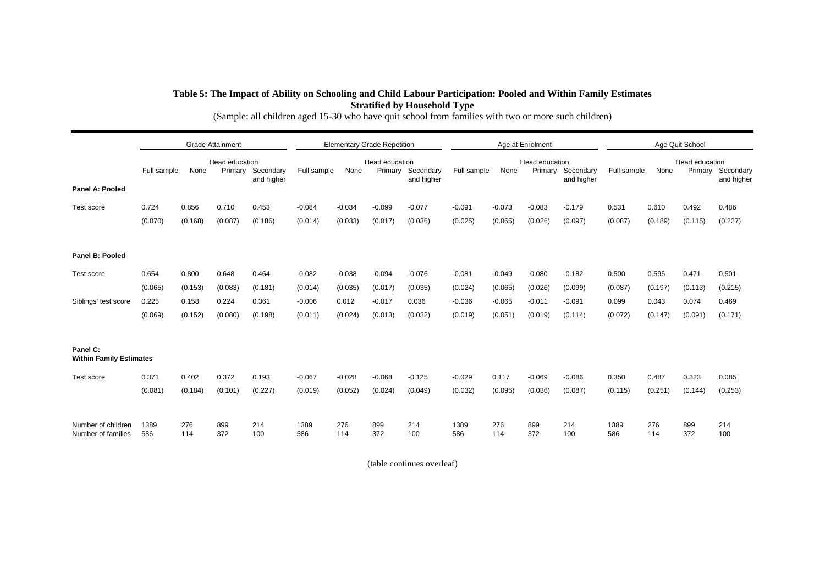## **Table 5: The Impact of Ability on Schooling and Child Labour Participation: Pooled and Within Family Estimates Stratified by Household Type**

|                                            | <b>Grade Attainment</b> |            |                |                   | <b>Elementary Grade Repetition</b> |            |                           |            | Age at Enrolment |            |                |                   | Age Quit School |            |                           |            |
|--------------------------------------------|-------------------------|------------|----------------|-------------------|------------------------------------|------------|---------------------------|------------|------------------|------------|----------------|-------------------|-----------------|------------|---------------------------|------------|
|                                            | Full sample             | None       | Head education | Primary Secondary | Full sample                        | None       | Head education<br>Primary | Secondary  | Full sample      | None       | Head education | Primary Secondary | Full sample     | None       | Head education<br>Primary | Secondary  |
| Panel A: Pooled                            |                         |            |                | and higher        |                                    |            |                           | and higher |                  |            |                | and higher        |                 |            |                           | and higher |
| Test score                                 | 0.724                   | 0.856      | 0.710          | 0.453             | $-0.084$                           | $-0.034$   | $-0.099$                  | $-0.077$   | $-0.091$         | $-0.073$   | $-0.083$       | $-0.179$          | 0.531           | 0.610      | 0.492                     | 0.486      |
|                                            | (0.070)                 | (0.168)    | (0.087)        | (0.186)           | (0.014)                            | (0.033)    | (0.017)                   | (0.036)    | (0.025)          | (0.065)    | (0.026)        | (0.097)           | (0.087)         | (0.189)    | (0.115)                   | (0.227)    |
| Panel B: Pooled                            |                         |            |                |                   |                                    |            |                           |            |                  |            |                |                   |                 |            |                           |            |
| Test score                                 | 0.654                   | 0.800      | 0.648          | 0.464             | $-0.082$                           | $-0.038$   | $-0.094$                  | $-0.076$   | $-0.081$         | $-0.049$   | $-0.080$       | $-0.182$          | 0.500           | 0.595      | 0.471                     | 0.501      |
|                                            | (0.065)                 | (0.153)    | (0.083)        | (0.181)           | (0.014)                            | (0.035)    | (0.017)                   | (0.035)    | (0.024)          | (0.065)    | (0.026)        | (0.099)           | (0.087)         | (0.197)    | (0.113)                   | (0.215)    |
| Siblings' test score                       | 0.225                   | 0.158      | 0.224          | 0.361             | $-0.006$                           | 0.012      | $-0.017$                  | 0.036      | $-0.036$         | $-0.065$   | $-0.011$       | $-0.091$          | 0.099           | 0.043      | 0.074                     | 0.469      |
|                                            | (0.069)                 | (0.152)    | (0.080)        | (0.198)           | (0.011)                            | (0.024)    | (0.013)                   | (0.032)    | (0.019)          | (0.051)    | (0.019)        | (0.114)           | (0.072)         | (0.147)    | (0.091)                   | (0.171)    |
| Panel C:<br><b>Within Family Estimates</b> |                         |            |                |                   |                                    |            |                           |            |                  |            |                |                   |                 |            |                           |            |
| Test score                                 | 0.371                   | 0.402      | 0.372          | 0.193             | $-0.067$                           | $-0.028$   | $-0.068$                  | $-0.125$   | $-0.029$         | 0.117      | $-0.069$       | $-0.086$          | 0.350           | 0.487      | 0.323                     | 0.085      |
|                                            | (0.081)                 | (0.184)    | (0.101)        | (0.227)           | (0.019)                            | (0.052)    | (0.024)                   | (0.049)    | (0.032)          | (0.095)    | (0.036)        | (0.087)           | (0.115)         | (0.251)    | (0.144)                   | (0.253)    |
| Number of children<br>Number of families   | 1389<br>586             | 276<br>114 | 899<br>372     | 214<br>100        | 1389<br>586                        | 276<br>114 | 899<br>372                | 214<br>100 | 1389<br>586      | 276<br>114 | 899<br>372     | 214<br>100        | 1389<br>586     | 276<br>114 | 899<br>372                | 214<br>100 |

(Sample: all children aged 15-30 who have quit school from families with two or more such children)

(table continues overleaf)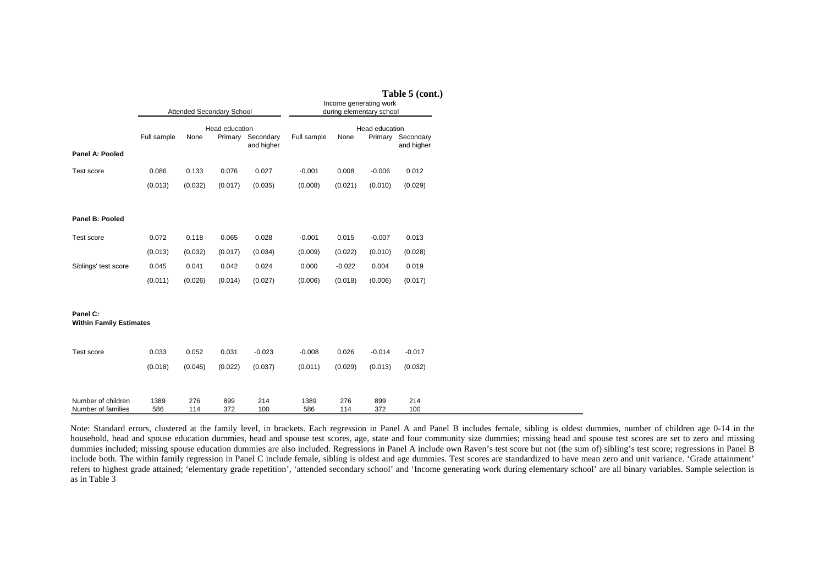|                                            |             |            | Attended Secondary School |                                 | Table 5 (cont.)<br>Income generating work<br>during elementary school |            |                                                   |            |  |  |  |
|--------------------------------------------|-------------|------------|---------------------------|---------------------------------|-----------------------------------------------------------------------|------------|---------------------------------------------------|------------|--|--|--|
| Panel A: Pooled                            | Full sample | None       | Head education            | Primary Secondary<br>and higher | Full sample                                                           | None       | Head education<br>Primary Secondary<br>and higher |            |  |  |  |
| Test score                                 | 0.086       | 0.133      | 0.076                     | 0.027                           | $-0.001$                                                              | 0.008      | $-0.006$                                          | 0.012      |  |  |  |
|                                            | (0.013)     | (0.032)    | (0.017)                   | (0.035)                         | (0.008)                                                               | (0.021)    | (0.010)                                           | (0.029)    |  |  |  |
| Panel B: Pooled                            |             |            |                           |                                 |                                                                       |            |                                                   |            |  |  |  |
| Test score                                 | 0.072       | 0.118      | 0.065                     | 0.028                           | $-0.001$                                                              | 0.015      | $-0.007$                                          | 0.013      |  |  |  |
|                                            | (0.013)     | (0.032)    | (0.017)                   | (0.034)                         | (0.009)                                                               | (0.022)    | (0.010)                                           | (0.028)    |  |  |  |
| Siblings' test score                       | 0.045       | 0.041      | 0.042                     | 0.024                           | 0.000                                                                 | $-0.022$   | 0.004                                             | 0.019      |  |  |  |
|                                            | (0.011)     | (0.026)    | (0.014)                   | (0.027)                         | (0.006)                                                               | (0.018)    | (0.006)                                           | (0.017)    |  |  |  |
| Panel C:<br><b>Within Family Estimates</b> |             |            |                           |                                 |                                                                       |            |                                                   |            |  |  |  |
| Test score                                 | 0.033       | 0.052      | 0.031                     | $-0.023$                        | $-0.008$                                                              | 0.026      | $-0.014$                                          | $-0.017$   |  |  |  |
|                                            | (0.018)     | (0.045)    | (0.022)                   | (0.037)                         | (0.011)                                                               | (0.029)    | (0.013)                                           | (0.032)    |  |  |  |
| Number of children<br>Number of families   | 1389<br>586 | 276<br>114 | 899<br>372                | 214<br>100                      | 1389<br>586                                                           | 276<br>114 | 899<br>372                                        | 214<br>100 |  |  |  |

Note: Standard errors, clustered at the family level, in brackets. Each regression in Panel A and Panel B includes female, sibling is oldest dummies, number of children age 0-14 in the household, head and spouse education dummies, head and spouse test scores, age, state and four community size dummies; missing head and spouse test scores are set to zero and missing dummies included; missing spouse education dummies are also included. Regressions in Panel A include own Raven's test score but not (the sum of) sibling's test score; regressions in Panel B include both. The within family regression in Panel C include female, sibling is oldest and age dummies. Test scores are standardized to have mean zero and unit variance. 'Grade attainment' refers to highest grade attained; 'elementary grade repetition', 'attended secondary school' and 'Income generating work during elementary school' are all binary variables. Sample selection is as in Table 3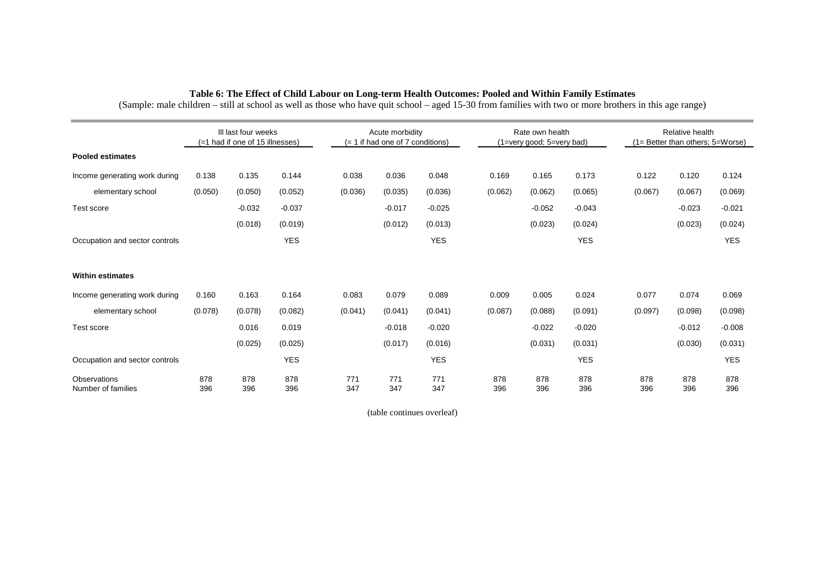|                                           |            | III last four weeks<br>(=1 had if one of 15 illnesses) |            |            | Acute morbidity<br>$(= 1$ if had one of 7 conditions) |            |            | Rate own health<br>(1=very good; 5=very bad) |            |            | Relative health<br>$(1 =$ Better than others; $5 =$ Worse) |            |  |
|-------------------------------------------|------------|--------------------------------------------------------|------------|------------|-------------------------------------------------------|------------|------------|----------------------------------------------|------------|------------|------------------------------------------------------------|------------|--|
| <b>Pooled estimates</b>                   |            |                                                        |            |            |                                                       |            |            |                                              |            |            |                                                            |            |  |
| Income generating work during             | 0.138      | 0.135                                                  | 0.144      | 0.038      | 0.036                                                 | 0.048      | 0.169      | 0.165                                        | 0.173      | 0.122      | 0.120                                                      | 0.124      |  |
| elementary school                         | (0.050)    | (0.050)                                                | (0.052)    | (0.036)    | (0.035)                                               | (0.036)    | (0.062)    | (0.062)                                      | (0.065)    | (0.067)    | (0.067)                                                    | (0.069)    |  |
| Test score                                |            | $-0.032$                                               | $-0.037$   |            | $-0.017$                                              | $-0.025$   |            | $-0.052$                                     | $-0.043$   |            | $-0.023$                                                   | $-0.021$   |  |
|                                           |            | (0.018)                                                | (0.019)    |            | (0.012)                                               | (0.013)    |            | (0.023)                                      | (0.024)    |            | (0.023)                                                    | (0.024)    |  |
| Occupation and sector controls            |            |                                                        | <b>YES</b> |            |                                                       | <b>YES</b> |            |                                              | <b>YES</b> |            |                                                            | <b>YES</b> |  |
| <b>Within estimates</b>                   |            |                                                        |            |            |                                                       |            |            |                                              |            |            |                                                            |            |  |
| Income generating work during             | 0.160      | 0.163                                                  | 0.164      | 0.083      | 0.079                                                 | 0.089      | 0.009      | 0.005                                        | 0.024      | 0.077      | 0.074                                                      | 0.069      |  |
| elementary school                         | (0.078)    | (0.078)                                                | (0.082)    | (0.041)    | (0.041)                                               | (0.041)    | (0.087)    | (0.088)                                      | (0.091)    | (0.097)    | (0.098)                                                    | (0.098)    |  |
| Test score                                |            | 0.016                                                  | 0.019      |            | $-0.018$                                              | $-0.020$   |            | $-0.022$                                     | $-0.020$   |            | $-0.012$                                                   | $-0.008$   |  |
|                                           |            | (0.025)                                                | (0.025)    |            | (0.017)                                               | (0.016)    |            | (0.031)                                      | (0.031)    |            | (0.030)                                                    | (0.031)    |  |
| Occupation and sector controls            |            |                                                        | <b>YES</b> |            |                                                       | <b>YES</b> |            |                                              | <b>YES</b> |            |                                                            | <b>YES</b> |  |
| <b>Observations</b><br>Number of families | 878<br>396 | 878<br>396                                             | 878<br>396 | 771<br>347 | 771<br>347                                            | 771<br>347 | 878<br>396 | 878<br>396                                   | 878<br>396 | 878<br>396 | 878<br>396                                                 | 878<br>396 |  |

#### **Table 6: The Effect of Child Labour on Long-term Health Outcomes: Pooled and Within Family Estimates**

(Sample: male children – still at school as well as those who have quit school – aged 15-30 from families with two or more brothers in this age range)

(table continues overleaf)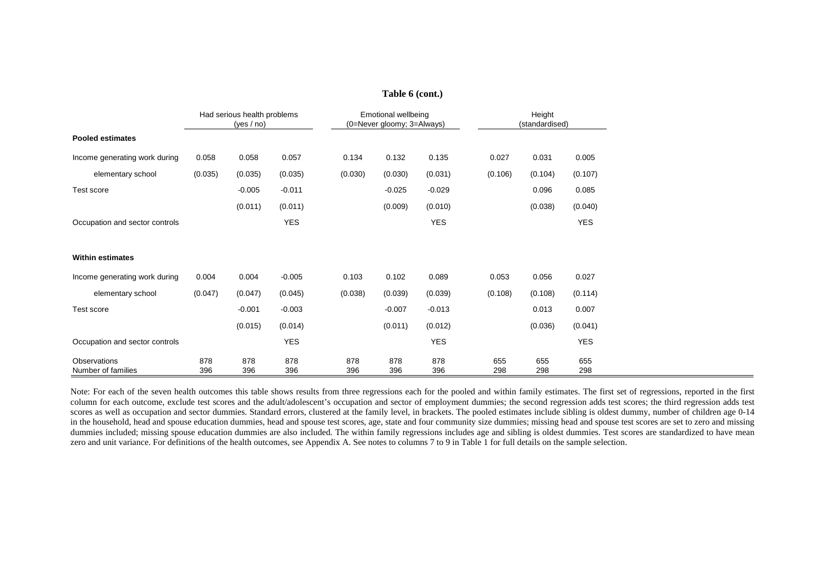| Had serious health problems<br>Height<br><b>Emotional wellbeing</b><br>(0=Never gloomy; 3=Always)<br>(standardised)<br>(yes / no)<br><b>Pooled estimates</b><br>Income generating work during<br>0.058<br>0.057<br>0.134<br>0.132<br>0.135<br>0.027<br>0.031<br>0.058<br>elementary school<br>(0.035)<br>(0.035)<br>(0.035)<br>(0.030)<br>(0.030)<br>(0.031)<br>(0.106)<br>(0.104)<br>$-0.005$<br>$-0.029$<br>$-0.011$<br>$-0.025$<br>0.096<br>Test score<br>(0.011)<br>(0.009)<br>(0.010)<br>(0.038)<br>(0.011)<br><b>YES</b><br><b>YES</b><br>Occupation and sector controls |            |  |  |  |
|--------------------------------------------------------------------------------------------------------------------------------------------------------------------------------------------------------------------------------------------------------------------------------------------------------------------------------------------------------------------------------------------------------------------------------------------------------------------------------------------------------------------------------------------------------------------------------|------------|--|--|--|
|                                                                                                                                                                                                                                                                                                                                                                                                                                                                                                                                                                                |            |  |  |  |
|                                                                                                                                                                                                                                                                                                                                                                                                                                                                                                                                                                                |            |  |  |  |
|                                                                                                                                                                                                                                                                                                                                                                                                                                                                                                                                                                                | 0.005      |  |  |  |
|                                                                                                                                                                                                                                                                                                                                                                                                                                                                                                                                                                                | (0.107)    |  |  |  |
|                                                                                                                                                                                                                                                                                                                                                                                                                                                                                                                                                                                | 0.085      |  |  |  |
|                                                                                                                                                                                                                                                                                                                                                                                                                                                                                                                                                                                | (0.040)    |  |  |  |
|                                                                                                                                                                                                                                                                                                                                                                                                                                                                                                                                                                                | <b>YES</b> |  |  |  |
|                                                                                                                                                                                                                                                                                                                                                                                                                                                                                                                                                                                |            |  |  |  |
| <b>Within estimates</b>                                                                                                                                                                                                                                                                                                                                                                                                                                                                                                                                                        |            |  |  |  |
| 0.103<br>0.102<br>0.089<br>0.056<br>Income generating work during<br>0.004<br>0.004<br>$-0.005$<br>0.053                                                                                                                                                                                                                                                                                                                                                                                                                                                                       | 0.027      |  |  |  |
| elementary school<br>(0.047)<br>(0.047)<br>(0.038)<br>(0.039)<br>(0.108)<br>(0.108)<br>(0.045)<br>(0.039)                                                                                                                                                                                                                                                                                                                                                                                                                                                                      | (0.114)    |  |  |  |
| $-0.013$<br>$-0.001$<br>$-0.003$<br>$-0.007$<br>0.013<br>Test score                                                                                                                                                                                                                                                                                                                                                                                                                                                                                                            | 0.007      |  |  |  |
| (0.015)<br>(0.011)<br>(0.012)<br>(0.036)<br>(0.014)                                                                                                                                                                                                                                                                                                                                                                                                                                                                                                                            | (0.041)    |  |  |  |
| <b>YES</b><br><b>YES</b><br>Occupation and sector controls                                                                                                                                                                                                                                                                                                                                                                                                                                                                                                                     | <b>YES</b> |  |  |  |
| 878<br>878<br>878<br>878<br><b>Observations</b><br>878<br>878<br>655<br>655<br>298<br>396<br>396<br>396<br>396<br>396<br>298<br>Number of families<br>396                                                                                                                                                                                                                                                                                                                                                                                                                      | 655<br>298 |  |  |  |

Note: For each of the seven health outcomes this table shows results from three regressions each for the pooled and within family estimates. The first set of regressions, reported in the first column for each outcome, exclude test scores and the adult/adolescent's occupation and sector of employment dummies; the second regression adds test scores; the third regression adds test scores as well as occupation and sector dummies. Standard errors, clustered at the family level, in brackets. The pooled estimates include sibling is oldest dummy, number of children age 0-14 in the household, head and spouse education dummies, head and spouse test scores, age, state and four community size dummies; missing head and spouse test scores are set to zero and missing dummies included; missing spouse education dummies are also included. The within family regressions includes age and sibling is oldest dummies. Test scores are standardized to have mean zero and unit variance. For definitions of the health outcomes, see Appendix A. See notes to columns 7 to 9 in Table 1 for full details on the sample selection.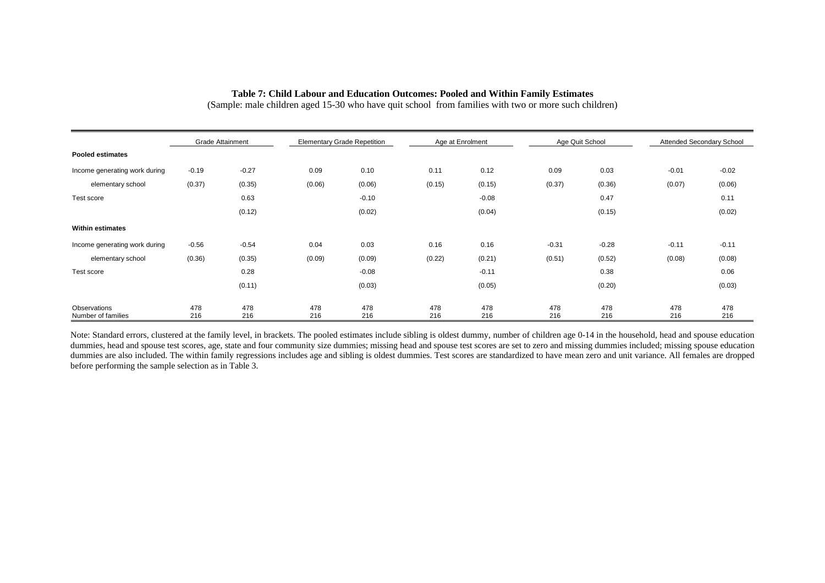#### **Table 7: Child Labour and Education Outcomes: Pooled and Within Family Estimates**

(Sample: male children aged 15-30 who have quit school from families with two or more such children)

|                                    | <b>Grade Attainment</b> |            |            | <b>Elementary Grade Repetition</b> |            | Age at Enrolment | Age Quit School |            | Attended Secondary School |            |
|------------------------------------|-------------------------|------------|------------|------------------------------------|------------|------------------|-----------------|------------|---------------------------|------------|
| <b>Pooled estimates</b>            |                         |            |            |                                    |            |                  |                 |            |                           |            |
| Income generating work during      | $-0.19$                 | $-0.27$    | 0.09       | 0.10                               | 0.11       | 0.12             | 0.09            | 0.03       | $-0.01$                   | $-0.02$    |
| elementary school                  | (0.37)                  | (0.35)     | (0.06)     | (0.06)                             | (0.15)     | (0.15)           | (0.37)          | (0.36)     | (0.07)                    | (0.06)     |
| Test score                         |                         | 0.63       |            | $-0.10$                            |            | $-0.08$          |                 | 0.47       |                           | 0.11       |
|                                    |                         | (0.12)     |            | (0.02)                             |            | (0.04)           |                 | (0.15)     |                           | (0.02)     |
| <b>Within estimates</b>            |                         |            |            |                                    |            |                  |                 |            |                           |            |
| Income generating work during      | $-0.56$                 | $-0.54$    | 0.04       | 0.03                               | 0.16       | 0.16             | $-0.31$         | $-0.28$    | $-0.11$                   | $-0.11$    |
| elementary school                  | (0.36)                  | (0.35)     | (0.09)     | (0.09)                             | (0.22)     | (0.21)           | (0.51)          | (0.52)     | (0.08)                    | (0.08)     |
| Test score                         |                         | 0.28       |            | $-0.08$                            |            | $-0.11$          |                 | 0.38       |                           | 0.06       |
|                                    |                         | (0.11)     |            | (0.03)                             |            | (0.05)           |                 | (0.20)     |                           | (0.03)     |
| Observations<br>Number of families | 478<br>216              | 478<br>216 | 478<br>216 | 478<br>216                         | 478<br>216 | 478<br>216       | 478<br>216      | 478<br>216 | 478<br>216                | 478<br>216 |

Note: Standard errors, clustered at the family level, in brackets. The pooled estimates include sibling is oldest dummy, number of children age 0-14 in the household, head and spouse education dummies, head and spouse test scores, age, state and four community size dummies; missing head and spouse test scores are set to zero and missing dummies included; missing spouse education dummies are also included. The within family regressions includes age and sibling is oldest dummies. Test scores are standardized to have mean zero and unit variance. All females are dropped before performing the sample selection as in Table 3.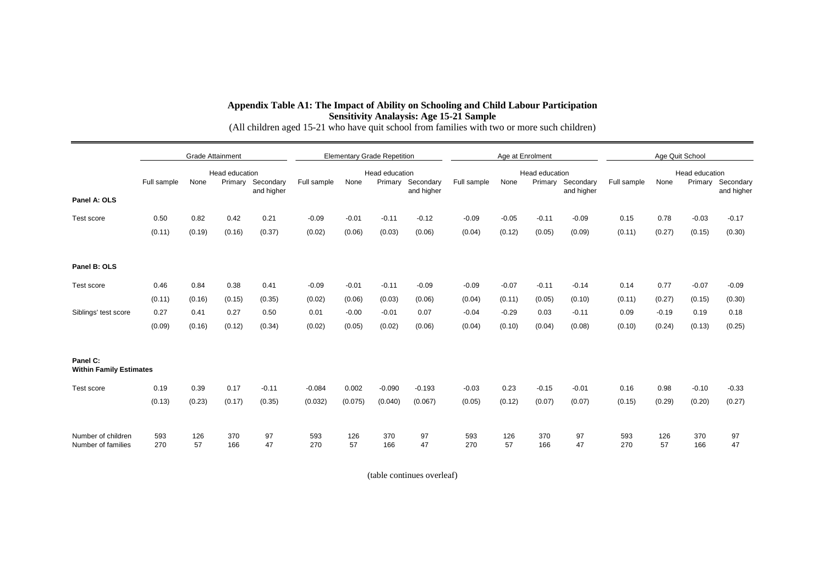#### **Appendix Table A1: The Impact of Ability on Schooling and Child Labour Participation Sensitivity Analaysis: Age 15-21 Sample**

(All children aged 15-21 who have quit school from families with two or more such children)

|                                            |             | <b>Grade Attainment</b> |                           | <b>Elementary Grade Repetition</b> |             |           |                           | Age at Enrolment |             |           |                           | Age Quit School |             |           |                           |            |
|--------------------------------------------|-------------|-------------------------|---------------------------|------------------------------------|-------------|-----------|---------------------------|------------------|-------------|-----------|---------------------------|-----------------|-------------|-----------|---------------------------|------------|
|                                            | Full sample | None                    | Head education<br>Primary | Secondary                          | Full sample | None      | Head education<br>Primary | Secondary        | Full sample | None      | Head education<br>Primary | Secondary       | Full sample | None      | Head education<br>Primary | Secondary  |
| Panel A: OLS                               |             |                         |                           | and higher                         |             |           |                           | and higher       |             |           |                           | and higher      |             |           |                           | and higher |
| Test score                                 | 0.50        | 0.82                    | 0.42                      | 0.21                               | $-0.09$     | $-0.01$   | $-0.11$                   | $-0.12$          | $-0.09$     | $-0.05$   | $-0.11$                   | $-0.09$         | 0.15        | 0.78      | $-0.03$                   | $-0.17$    |
|                                            | (0.11)      | (0.19)                  | (0.16)                    | (0.37)                             | (0.02)      | (0.06)    | (0.03)                    | (0.06)           | (0.04)      | (0.12)    | (0.05)                    | (0.09)          | (0.11)      | (0.27)    | (0.15)                    | (0.30)     |
| Panel B: OLS                               |             |                         |                           |                                    |             |           |                           |                  |             |           |                           |                 |             |           |                           |            |
| Test score                                 | 0.46        | 0.84                    | 0.38                      | 0.41                               | $-0.09$     | $-0.01$   | $-0.11$                   | $-0.09$          | $-0.09$     | $-0.07$   | $-0.11$                   | $-0.14$         | 0.14        | 0.77      | $-0.07$                   | $-0.09$    |
|                                            | (0.11)      | (0.16)                  | (0.15)                    | (0.35)                             | (0.02)      | (0.06)    | (0.03)                    | (0.06)           | (0.04)      | (0.11)    | (0.05)                    | (0.10)          | (0.11)      | (0.27)    | (0.15)                    | (0.30)     |
| Siblings' test score                       | 0.27        | 0.41                    | 0.27                      | 0.50                               | 0.01        | $-0.00$   | $-0.01$                   | 0.07             | $-0.04$     | $-0.29$   | 0.03                      | $-0.11$         | 0.09        | $-0.19$   | 0.19                      | 0.18       |
|                                            | (0.09)      | (0.16)                  | (0.12)                    | (0.34)                             | (0.02)      | (0.05)    | (0.02)                    | (0.06)           | (0.04)      | (0.10)    | (0.04)                    | (0.08)          | (0.10)      | (0.24)    | (0.13)                    | (0.25)     |
| Panel C:<br><b>Within Family Estimates</b> |             |                         |                           |                                    |             |           |                           |                  |             |           |                           |                 |             |           |                           |            |
| Test score                                 | 0.19        | 0.39                    | 0.17                      | $-0.11$                            | $-0.084$    | 0.002     | $-0.090$                  | $-0.193$         | $-0.03$     | 0.23      | $-0.15$                   | $-0.01$         | 0.16        | 0.98      | $-0.10$                   | $-0.33$    |
|                                            | (0.13)      | (0.23)                  | (0.17)                    | (0.35)                             | (0.032)     | (0.075)   | (0.040)                   | (0.067)          | (0.05)      | (0.12)    | (0.07)                    | (0.07)          | (0.15)      | (0.29)    | (0.20)                    | (0.27)     |
| Number of children<br>Number of families   | 593<br>270  | 126<br>57               | 370<br>166                | 97<br>47                           | 593<br>270  | 126<br>57 | 370<br>166                | 97<br>47         | 593<br>270  | 126<br>57 | 370<br>166                | 97<br>47        | 593<br>270  | 126<br>57 | 370<br>166                | 97<br>47   |

(table continues overleaf)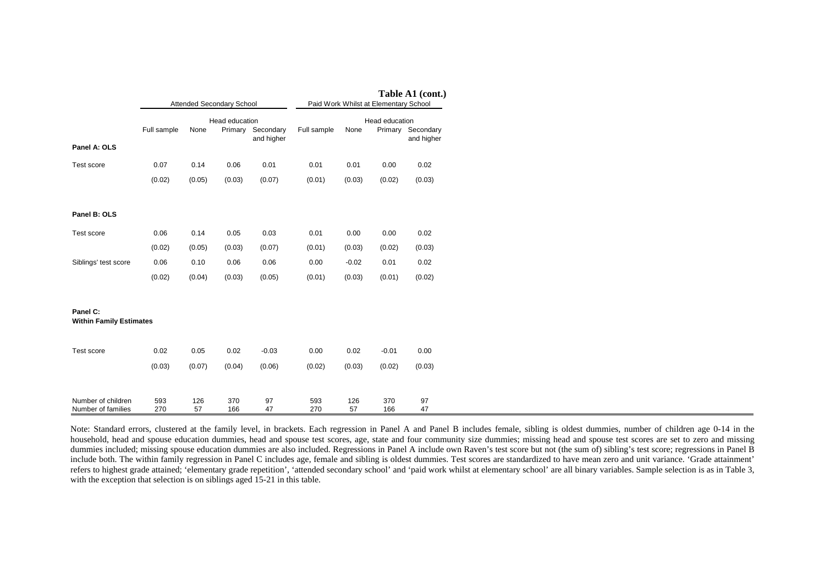|                                            |             |           | Attended Secondary School |                                 | Table A1 (cont.)<br>Paid Work Whilst at Elementary School |           |                |                                 |  |
|--------------------------------------------|-------------|-----------|---------------------------|---------------------------------|-----------------------------------------------------------|-----------|----------------|---------------------------------|--|
| Panel A: OLS                               | Full sample | None      | Head education            | Primary Secondary<br>and higher | Full sample                                               | None      | Head education | Primary Secondary<br>and higher |  |
| Test score                                 | 0.07        | 0.14      | 0.06                      | 0.01                            | 0.01                                                      | 0.01      | 0.00           | 0.02                            |  |
|                                            | (0.02)      | (0.05)    | (0.03)                    | (0.07)                          | (0.01)                                                    | (0.03)    | (0.02)         | (0.03)                          |  |
| Panel B: OLS                               |             |           |                           |                                 |                                                           |           |                |                                 |  |
| Test score                                 | 0.06        | 0.14      | 0.05                      | 0.03                            | 0.01                                                      | 0.00      | 0.00           | 0.02                            |  |
|                                            | (0.02)      | (0.05)    | (0.03)                    | (0.07)                          | (0.01)                                                    | (0.03)    | (0.02)         | (0.03)                          |  |
| Siblings' test score                       | 0.06        | 0.10      | 0.06                      | 0.06                            | 0.00                                                      | $-0.02$   | 0.01           | 0.02                            |  |
|                                            | (0.02)      | (0.04)    | (0.03)                    | (0.05)                          | (0.01)                                                    | (0.03)    | (0.01)         | (0.02)                          |  |
| Panel C:<br><b>Within Family Estimates</b> |             |           |                           |                                 |                                                           |           |                |                                 |  |
| Test score                                 | 0.02        | 0.05      | 0.02                      | $-0.03$                         | 0.00                                                      | 0.02      | $-0.01$        | 0.00                            |  |
|                                            | (0.03)      | (0.07)    | (0.04)                    | (0.06)                          | (0.02)                                                    | (0.03)    | (0.02)         | (0.03)                          |  |
| Number of children<br>Number of families   | 593<br>270  | 126<br>57 | 370<br>166                | 97<br>47                        | 593<br>270                                                | 126<br>57 | 370<br>166     | 97<br>47                        |  |

Note: Standard errors, clustered at the family level, in brackets. Each regression in Panel A and Panel B includes female, sibling is oldest dummies, number of children age 0-14 in the household, head and spouse education dummies, head and spouse test scores, age, state and four community size dummies; missing head and spouse test scores are set to zero and missing dummies included; missing spouse education dummies are also included. Regressions in Panel A include own Raven's test score but not (the sum of) sibling's test score; regressions in Panel B include both. The within family regression in Panel C includes age, female and sibling is oldest dummies. Test scores are standardized to have mean zero and unit variance. 'Grade attainment' refers to highest grade attained; 'elementary grade repetition', 'attended secondary school' and 'paid work whilst at elementary school' are all binary variables. Sample selection is as in Table 3, with the exception that selection is on siblings aged 15-21 in this table.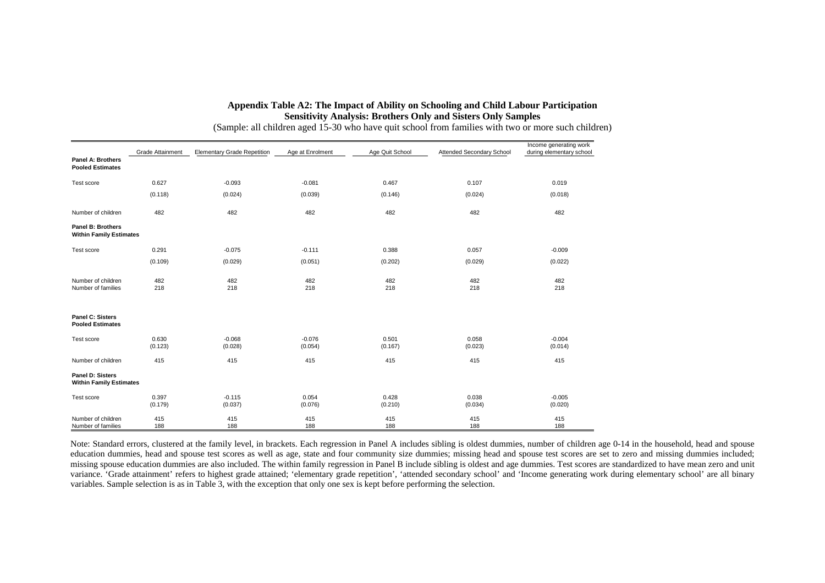## **Appendix Table A2: The Impact of Ability on Schooling and Child Labour Participation Sensitivity Analysis: Brothers Only and Sisters Only Samples**

|                                                     | Grade Attainment | <b>Elementary Grade Repetition</b> | Age at Enrolment    | Age Quit School  | Attended Secondary School | Income generating work<br>during elementary school |
|-----------------------------------------------------|------------------|------------------------------------|---------------------|------------------|---------------------------|----------------------------------------------------|
| Panel A: Brothers<br><b>Pooled Estimates</b>        |                  |                                    |                     |                  |                           |                                                    |
| Test score                                          | 0.627            | $-0.093$                           | $-0.081$            | 0.467            | 0.107                     | 0.019                                              |
|                                                     | (0.118)          | (0.024)                            | (0.039)             | (0.146)          | (0.024)                   | (0.018)                                            |
| Number of children                                  | 482              | 482                                | 482                 | 482              | 482                       | 482                                                |
| Panel B: Brothers<br><b>Within Family Estimates</b> |                  |                                    |                     |                  |                           |                                                    |
| Test score                                          | 0.291            | $-0.075$                           | $-0.111$            | 0.388            | 0.057                     | $-0.009$                                           |
|                                                     | (0.109)          | (0.029)                            | (0.051)             | (0.202)          | (0.029)                   | (0.022)                                            |
| Number of children<br>Number of families            | 482<br>218       | 482<br>218                         | 482<br>218          | 482<br>218       | 482<br>218                | 482<br>218                                         |
| Panel C: Sisters<br><b>Pooled Estimates</b>         |                  |                                    |                     |                  |                           |                                                    |
| Test score                                          | 0.630<br>(0.123) | $-0.068$<br>(0.028)                | $-0.076$<br>(0.054) | 0.501<br>(0.167) | 0.058<br>(0.023)          | $-0.004$<br>(0.014)                                |
| Number of children                                  | 415              | 415                                | 415                 | 415              | 415                       | 415                                                |
| Panel D: Sisters<br><b>Within Family Estimates</b>  |                  |                                    |                     |                  |                           |                                                    |
| Test score                                          | 0.397<br>(0.179) | $-0.115$<br>(0.037)                | 0.054<br>(0.076)    | 0.428<br>(0.210) | 0.038<br>(0.034)          | $-0.005$<br>(0.020)                                |
| Number of children<br>Number of families            | 415<br>188       | 415<br>188                         | 415<br>188          | 415<br>188       | 415<br>188                | 415<br>188                                         |

(Sample: all children aged 15-30 who have quit school from families with two or more such children)

Note: Standard errors, clustered at the family level, in brackets. Each regression in Panel A includes sibling is oldest dummies, number of children age 0-14 in the household, head and spouse education dummies, head and spouse test scores as well as age, state and four community size dummies; missing head and spouse test scores are set to zero and missing dummies included; missing spouse education dummies are also included. The within family regression in Panel B include sibling is oldest and age dummies. Test scores are standardized to have mean zero and unit variance. 'Grade attainment' refers to highest grade attained; 'elementary grade repetition', 'attended secondary school' and 'Income generating work during elementary school' are all binary variables. Sample selection is as in Table 3, with the exception that only one sex is kept before performing the selection.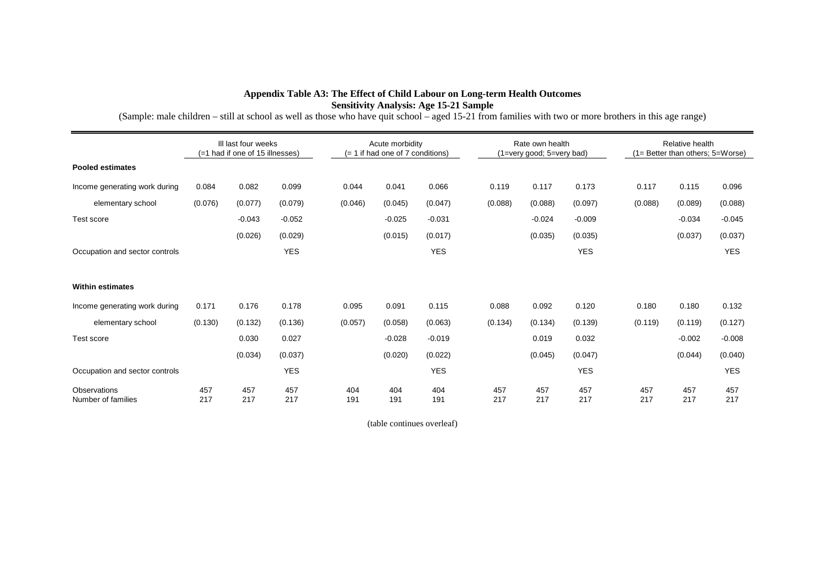## **Appendix Table A3: The Effect of Child Labour on Long-term Health Outcomes Sensitivity Analysis: Age 15-21 Sample**

(Sample: male children – still at school as well as those who have quit school – aged 15-21 from families with two or more brothers in this age range)

|                                    | III last four weeks<br>(=1 had if one of 15 illnesses) |            |            |            | Acute morbidity<br>(= 1 if had one of 7 conditions) |            |            | Rate own health<br>(1=very good; 5=very bad) |            |            |  | Relative health<br>(1= Better than others; 5=Worse) |            |            |  |
|------------------------------------|--------------------------------------------------------|------------|------------|------------|-----------------------------------------------------|------------|------------|----------------------------------------------|------------|------------|--|-----------------------------------------------------|------------|------------|--|
| <b>Pooled estimates</b>            |                                                        |            |            |            |                                                     |            |            |                                              |            |            |  |                                                     |            |            |  |
| Income generating work during      | 0.084                                                  | 0.082      | 0.099      | 0.044      | 0.041                                               | 0.066      | 0.119      |                                              | 0.117      | 0.173      |  | 0.117                                               | 0.115      | 0.096      |  |
| elementary school                  | (0.076)                                                | (0.077)    | (0.079)    | (0.046)    | (0.045)                                             | (0.047)    | (0.088)    |                                              | (0.088)    | (0.097)    |  | (0.088)                                             | (0.089)    | (0.088)    |  |
| Test score                         |                                                        | $-0.043$   | $-0.052$   |            | $-0.025$                                            | $-0.031$   |            |                                              | $-0.024$   | $-0.009$   |  |                                                     | $-0.034$   | $-0.045$   |  |
|                                    |                                                        | (0.026)    | (0.029)    |            | (0.015)                                             | (0.017)    |            |                                              | (0.035)    | (0.035)    |  |                                                     | (0.037)    | (0.037)    |  |
| Occupation and sector controls     |                                                        |            | <b>YES</b> |            |                                                     | <b>YES</b> |            |                                              |            | <b>YES</b> |  |                                                     |            | <b>YES</b> |  |
|                                    |                                                        |            |            |            |                                                     |            |            |                                              |            |            |  |                                                     |            |            |  |
| <b>Within estimates</b>            |                                                        |            |            |            |                                                     |            |            |                                              |            |            |  |                                                     |            |            |  |
| Income generating work during      | 0.171                                                  | 0.176      | 0.178      | 0.095      | 0.091                                               | 0.115      | 0.088      |                                              | 0.092      | 0.120      |  | 0.180                                               | 0.180      | 0.132      |  |
| elementary school                  | (0.130)                                                | (0.132)    | (0.136)    | (0.057)    | (0.058)                                             | (0.063)    | (0.134)    |                                              | (0.134)    | (0.139)    |  | (0.119)                                             | (0.119)    | (0.127)    |  |
| Test score                         |                                                        | 0.030      | 0.027      |            | $-0.028$                                            | $-0.019$   |            |                                              | 0.019      | 0.032      |  |                                                     | $-0.002$   | $-0.008$   |  |
|                                    |                                                        | (0.034)    | (0.037)    |            | (0.020)                                             | (0.022)    |            |                                              | (0.045)    | (0.047)    |  |                                                     | (0.044)    | (0.040)    |  |
| Occupation and sector controls     |                                                        |            | <b>YES</b> |            |                                                     | <b>YES</b> |            |                                              |            | <b>YES</b> |  |                                                     |            | <b>YES</b> |  |
| Observations<br>Number of families | 457<br>217                                             | 457<br>217 | 457<br>217 | 404<br>191 | 404<br>191                                          | 404<br>191 | 457<br>217 |                                              | 457<br>217 | 457<br>217 |  | 457<br>217                                          | 457<br>217 | 457<br>217 |  |

(table continues overleaf)